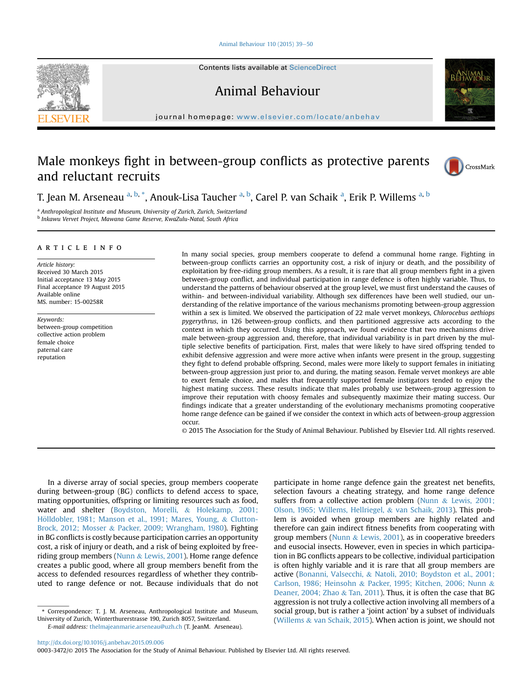# [Animal Behaviour 110 \(2015\) 39](http://dx.doi.org/10.1016/j.anbehav.2015.09.006)-[50](http://dx.doi.org/10.1016/j.anbehav.2015.09.006)

Contents lists available at ScienceDirect

Animal Behaviour

journal homepage: [www.elsevier.com/locate/anbehav](http://www.elsevier.com/locate/anbehav)

# Male monkeys fight in between-group conflicts as protective parents and reluctant recruits



T. Jean M. Arseneau <sup>a, b,</sup> \*, Anouk-Lisa Taucher <sup>a, b</sup>, Carel P. van Schaik <sup>a</sup>, Erik P. Willems <sup>a, b</sup>

<sup>a</sup> Anthropological Institute and Museum, University of Zurich, Zurich, Switzerland <sup>b</sup> Inkawu Vervet Project, Mawana Game Reserve, KwaZulu-Natal, South Africa

# article info

Article history: Received 30 March 2015 Initial acceptance 13 May 2015 Final acceptance 19 August 2015 Available online MS. number: 15-00258R

Keywords: between-group competition collective action problem female choice paternal care reputation

In many social species, group members cooperate to defend a communal home range. Fighting in between-group conflicts carries an opportunity cost, a risk of injury or death, and the possibility of exploitation by free-riding group members. As a result, it is rare that all group members fight in a given between-group conflict, and individual participation in range defence is often highly variable. Thus, to understand the patterns of behaviour observed at the group level, we must first understand the causes of within- and between-individual variability. Although sex differences have been well studied, our understanding of the relative importance of the various mechanisms promoting between-group aggression within a sex is limited. We observed the participation of 22 male vervet monkeys, Chlorocebus aethiops pygerythrus, in 126 between-group conflicts, and then partitioned aggressive acts according to the context in which they occurred. Using this approach, we found evidence that two mechanisms drive male between-group aggression and, therefore, that individual variability is in part driven by the multiple selective benefits of participation. First, males that were likely to have sired offspring tended to exhibit defensive aggression and were more active when infants were present in the group, suggesting they fight to defend probable offspring. Second, males were more likely to support females in initiating between-group aggression just prior to, and during, the mating season. Female vervet monkeys are able to exert female choice, and males that frequently supported female instigators tended to enjoy the highest mating success. These results indicate that males probably use between-group aggression to improve their reputation with choosy females and subsequently maximize their mating success. Our findings indicate that a greater understanding of the evolutionary mechanisms promoting cooperative home range defence can be gained if we consider the context in which acts of between-group aggression occur.

© 2015 The Association for the Study of Animal Behaviour. Published by Elsevier Ltd. All rights reserved.

In a diverse array of social species, group members cooperate during between-group (BG) conflicts to defend access to space, mating opportunities, offspring or limiting resources such as food, water and shelter (Boydston, Morelli, & Holekamp, 2001; Hölldobler, 1981; Manson et al., 1991; Mares, Young, & Clutton-Brock, 2012; Mosser & Packer, 2009; Wrangham, 1980). Fighting in BG conflicts is costly because participation carries an opportunity cost, a risk of injury or death, and a risk of being exploited by freeriding group members (Nunn & Lewis, 2001). Home range defence creates a public good, where all group members benefit from the access to defended resources regardless of whether they contributed to range defence or not. Because individuals that do not

participate in home range defence gain the greatest net benefits, selection favours a cheating strategy, and home range defence suffers from a collective action problem (Nunn & Lewis, 2001; Olson, 1965; Willems, Hellriegel, & van Schaik, 2013). This problem is avoided when group members are highly related and therefore can gain indirect fitness benefits from cooperating with group members (Nunn  $&$  Lewis, 2001), as in cooperative breeders and eusocial insects. However, even in species in which participation in BG conflicts appears to be collective, individual participation is often highly variable and it is rare that all group members are active (Bonanni, Valsecchi, & Natoli, 2010; Boydston et al., 2001; Carlson, 1986; Heinsohn & Packer, 1995; Kitchen, 2006; Nunn & Deaner, 2004; Zhao & Tan, 2011). Thus, it is often the case that BG aggression is not truly a collective action involving all members of a social group, but is rather a 'joint action' by a subset of individuals (Willems & van Schaik, 2015). When action is joint, we should not

<sup>\*</sup> Correspondence: T. J. M. Arseneau, Anthropological Institute and Museum, University of Zurich, Winterthurerstrasse 190, Zurich 8057, Switzerland. E-mail address: [thelmajeanmarie.arseneau@uzh.ch](mailto:thelmajeanmarie.arseneau@uzh.ch) (T. JeanM. Arseneau).

<http://dx.doi.org/10.1016/j.anbehav.2015.09.006>

<sup>0003-3472/</sup>© 2015 The Association for the Study of Animal Behaviour. Published by Elsevier Ltd. All rights reserved.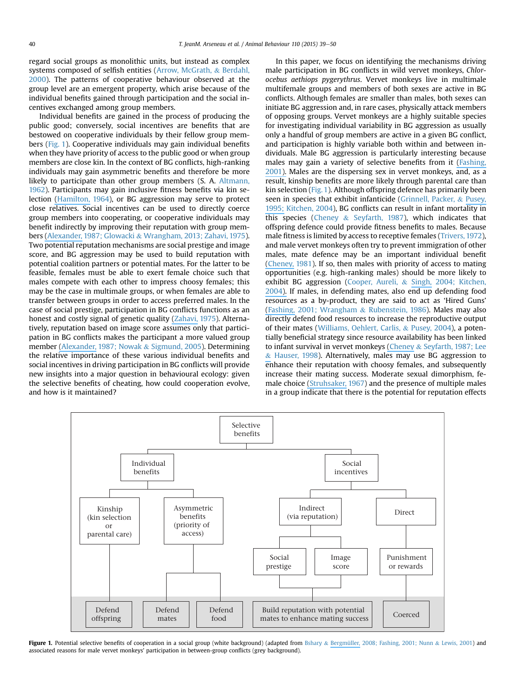regard social groups as monolithic units, but instead as complex systems composed of selfish entities (Arrow, McGrath, & Berdahl, 2000). The patterns of cooperative behaviour observed at the group level are an emergent property, which arise because of the individual benefits gained through participation and the social incentives exchanged among group members.

Individual benefits are gained in the process of producing the public good; conversely, social incentives are benefits that are bestowed on cooperative individuals by their fellow group members (Fig. 1). Cooperative individuals may gain individual benefits when they have priority of access to the public good or when group members are close kin. In the context of BG conflicts, high-ranking individuals may gain asymmetric benefits and therefore be more likely to participate than other group members (S. A. Altmann, 1962). Participants may gain inclusive fitness benefits via kin selection [\(Hamilton,](https://www.researchgate.net/publication/17311494_The_Genetical_Evolution_of_Social_Behaviour._I_and_II?el=1_x_8&enrichId=rgreq-20cb5913-cbb9-48c8-b4e1-f2d63c0c4fc0&enrichSource=Y292ZXJQYWdlOzI4MzA5MTcxMDtBUzoyODc4NDAxMzYxMjIzNjhAMTQ0NTYzNzg0NDU5Mw==) 1964), or BG aggression may serve to protect close relatives. Social incentives can be used to directly coerce group members into cooperating, or cooperative individuals may benefit indirectly by improving their reputation with group members [\(Alexander,](https://www.researchgate.net/publication/230818246_The_Biology_of_Moral_Systems?el=1_x_8&enrichId=rgreq-20cb5913-cbb9-48c8-b4e1-f2d63c0c4fc0&enrichSource=Y292ZXJQYWdlOzI4MzA5MTcxMDtBUzoyODc4NDAxMzYxMjIzNjhAMTQ0NTYzNzg0NDU5Mw==) 1987; Glowacki & Wrangham, 2013; Zahavi, 1975). Two potential reputation mechanisms are social prestige and image score, and BG aggression may be used to build reputation with potential coalition partners or potential mates. For the latter to be feasible, females must be able to exert female choice such that males compete with each other to impress choosy females; this may be the case in multimale groups, or when females are able to transfer between groups in order to access preferred males. In the case of social prestige, participation in BG conflicts functions as an honest and costly signal of genetic quality [\(Zahavi,](https://www.researchgate.net/publication/21959410_Mate_SelectionA_Selection_for_a_Handicap?el=1_x_8&enrichId=rgreq-20cb5913-cbb9-48c8-b4e1-f2d63c0c4fc0&enrichSource=Y292ZXJQYWdlOzI4MzA5MTcxMDtBUzoyODc4NDAxMzYxMjIzNjhAMTQ0NTYzNzg0NDU5Mw==) 1975). Alternatively, reputation based on image score assumes only that participation in BG conflicts makes the participant a more valued group member [\(Alexander,](https://www.researchgate.net/publication/230818246_The_Biology_of_Moral_Systems?el=1_x_8&enrichId=rgreq-20cb5913-cbb9-48c8-b4e1-f2d63c0c4fc0&enrichSource=Y292ZXJQYWdlOzI4MzA5MTcxMDtBUzoyODc4NDAxMzYxMjIzNjhAMTQ0NTYzNzg0NDU5Mw==) 1987; Nowak & Sigmund, 2005). Determining the relative importance of these various individual benefits and social incentives in driving participation in BG conflicts will provide new insights into a major question in behavioural ecology: given the selective benefits of cheating, how could cooperation evolve, and how is it maintained?

In this paper, we focus on identifying the mechanisms driving male participation in BG conflicts in wild vervet monkeys, Chlorocebus aethiops pygerythrus. Vervet monkeys live in multimale multifemale groups and members of both sexes are active in BG conflicts. Although females are smaller than males, both sexes can initiate BG aggression and, in rare cases, physically attack members of opposing groups. Vervet monkeys are a highly suitable species for investigating individual variability in BG aggression as usually only a handful of group members are active in a given BG conflict, and participation is highly variable both within and between individuals. Male BG aggression is particularly interesting because males may gain a variety of selective benefits from it [\(Fashing,](https://www.researchgate.net/publication/225957406_Male_and_female_strategies_during_intergroup_encounters_in_guerezas_(Colobus_guereza)_evidence_for_resource_defense_mediated_through_males_and_a_comparison_with_other_primates._Behav_Ecol_Sociobiol?el=1_x_8&enrichId=rgreq-20cb5913-cbb9-48c8-b4e1-f2d63c0c4fc0&enrichSource=Y292ZXJQYWdlOzI4MzA5MTcxMDtBUzoyODc4NDAxMzYxMjIzNjhAMTQ0NTYzNzg0NDU5Mw==) [2001\).](https://www.researchgate.net/publication/225957406_Male_and_female_strategies_during_intergroup_encounters_in_guerezas_(Colobus_guereza)_evidence_for_resource_defense_mediated_through_males_and_a_comparison_with_other_primates._Behav_Ecol_Sociobiol?el=1_x_8&enrichId=rgreq-20cb5913-cbb9-48c8-b4e1-f2d63c0c4fc0&enrichSource=Y292ZXJQYWdlOzI4MzA5MTcxMDtBUzoyODc4NDAxMzYxMjIzNjhAMTQ0NTYzNzg0NDU5Mw==) Males are the dispersing sex in vervet monkeys, and, as a result, kinship benefits are more likely through parental care than kin selection (Fig. 1). Although offspring defence has primarily been seen in species that exhibit infanticide (Grinnell, Packer, & [Pusey,](https://www.researchgate.net/publication/222553708_Kitchen_D._M._Alpha_male_black_howler_monkey_responses_to_loud_calls_effect_of_numeric_odds_male_companion_behaviour_and_reproductive_investment._Anim._Behav._67_125-139?el=1_x_8&enrichId=rgreq-20cb5913-cbb9-48c8-b4e1-f2d63c0c4fc0&enrichSource=Y292ZXJQYWdlOzI4MzA5MTcxMDtBUzoyODc4NDAxMzYxMjIzNjhAMTQ0NTYzNzg0NDU5Mw==) [1995;](https://www.researchgate.net/publication/222553708_Kitchen_D._M._Alpha_male_black_howler_monkey_responses_to_loud_calls_effect_of_numeric_odds_male_companion_behaviour_and_reproductive_investment._Anim._Behav._67_125-139?el=1_x_8&enrichId=rgreq-20cb5913-cbb9-48c8-b4e1-f2d63c0c4fc0&enrichSource=Y292ZXJQYWdlOzI4MzA5MTcxMDtBUzoyODc4NDAxMzYxMjIzNjhAMTQ0NTYzNzg0NDU5Mw==) Kitchen, 2004), BG conflicts can result in infant mortality in this species (Cheney  $&$  Seyfarth, 1987), which indicates that offspring defence could provide fitness benefits to males. Because male fitness is limited by access to receptive females (Trivers, 1972), and male vervet monkeys often try to prevent immigration of other males, mate defence may be an important individual benefit [\(Cheney,](https://www.researchgate.net/publication/16003465_Intergroup_Encounters_among_Free-Ranging_Vervet_Monkeys?el=1_x_8&enrichId=rgreq-20cb5913-cbb9-48c8-b4e1-f2d63c0c4fc0&enrichSource=Y292ZXJQYWdlOzI4MzA5MTcxMDtBUzoyODc4NDAxMzYxMjIzNjhAMTQ0NTYzNzg0NDU5Mw==) 1981). If so, then males with priority of access to mating opportunities (e.g. high-ranking males) should be more likely to exhibit BG aggression (Cooper, Aureli, & [Singh,](https://www.researchgate.net/publication/222553708_Kitchen_D._M._Alpha_male_black_howler_monkey_responses_to_loud_calls_effect_of_numeric_odds_male_companion_behaviour_and_reproductive_investment._Anim._Behav._67_125-139?el=1_x_8&enrichId=rgreq-20cb5913-cbb9-48c8-b4e1-f2d63c0c4fc0&enrichSource=Y292ZXJQYWdlOzI4MzA5MTcxMDtBUzoyODc4NDAxMzYxMjIzNjhAMTQ0NTYzNzg0NDU5Mw==) 2004; Kitchen, [2004\).](https://www.researchgate.net/publication/222553708_Kitchen_D._M._Alpha_male_black_howler_monkey_responses_to_loud_calls_effect_of_numeric_odds_male_companion_behaviour_and_reproductive_investment._Anim._Behav._67_125-139?el=1_x_8&enrichId=rgreq-20cb5913-cbb9-48c8-b4e1-f2d63c0c4fc0&enrichSource=Y292ZXJQYWdlOzI4MzA5MTcxMDtBUzoyODc4NDAxMzYxMjIzNjhAMTQ0NTYzNzg0NDU5Mw==) If males, in defending mates, also end up defending food resources as a by-product, they are said to act as 'Hired Guns' [\(Fashing,](https://www.researchgate.net/publication/225957406_Male_and_female_strategies_during_intergroup_encounters_in_guerezas_(Colobus_guereza)_evidence_for_resource_defense_mediated_through_males_and_a_comparison_with_other_primates._Behav_Ecol_Sociobiol?el=1_x_8&enrichId=rgreq-20cb5913-cbb9-48c8-b4e1-f2d63c0c4fc0&enrichSource=Y292ZXJQYWdlOzI4MzA5MTcxMDtBUzoyODc4NDAxMzYxMjIzNjhAMTQ0NTYzNzg0NDU5Mw==) 2001; Wrangham & Rubenstein, 1986). Males may also directly defend food resources to increase the reproductive output of their mates (Williams, Oehlert, Carlis, & Pusey, 2004), a potentially beneficial strategy since resource availability has been linked to infant survival in vervet monkeys [\(Cheney](https://www.researchgate.net/publication/248812967_Long-term_consequences_of_changes_in_territory_quality_on_feeding_and_reproductive_strategies_of_vervet_monkeys?el=1_x_8&enrichId=rgreq-20cb5913-cbb9-48c8-b4e1-f2d63c0c4fc0&enrichSource=Y292ZXJQYWdlOzI4MzA5MTcxMDtBUzoyODc4NDAxMzYxMjIzNjhAMTQ0NTYzNzg0NDU5Mw==) & Seyfarth, 1987; Lee [&](https://www.researchgate.net/publication/248812967_Long-term_consequences_of_changes_in_territory_quality_on_feeding_and_reproductive_strategies_of_vervet_monkeys?el=1_x_8&enrichId=rgreq-20cb5913-cbb9-48c8-b4e1-f2d63c0c4fc0&enrichSource=Y292ZXJQYWdlOzI4MzA5MTcxMDtBUzoyODc4NDAxMzYxMjIzNjhAMTQ0NTYzNzg0NDU5Mw==) Hauser, 1998). Alternatively, males may use BG aggression to enhance their reputation with choosy females, and subsequently increase their mating success. Moderate sexual dimorphism, female choice [\(Struhsaker,](https://www.researchgate.net/publication/18204066_Social_Structure_Among_Vervet_Monkeys_(Cercopithecus_Aethiops)?el=1_x_8&enrichId=rgreq-20cb5913-cbb9-48c8-b4e1-f2d63c0c4fc0&enrichSource=Y292ZXJQYWdlOzI4MzA5MTcxMDtBUzoyODc4NDAxMzYxMjIzNjhAMTQ0NTYzNzg0NDU5Mw==) 1967) and the presence of multiple males in a group indicate that there is the potential for reputation effects



Figure 1. Potential selective benefits of cooperation in a social group (white background) (adapted from Bshary & [Bergmüller,](https://www.researchgate.net/publication/225957406_Male_and_female_strategies_during_intergroup_encounters_in_guerezas_(Colobus_guereza)_evidence_for_resource_defense_mediated_through_males_and_a_comparison_with_other_primates._Behav_Ecol_Sociobiol?el=1_x_8&enrichId=rgreq-20cb5913-cbb9-48c8-b4e1-f2d63c0c4fc0&enrichSource=Y292ZXJQYWdlOzI4MzA5MTcxMDtBUzoyODc4NDAxMzYxMjIzNjhAMTQ0NTYzNzg0NDU5Mw==) 2008; Fashing, 2001; Nunn & Lewis, 2001) and associated reasons for male vervet monkeys' participation in between-group conflicts (grey background).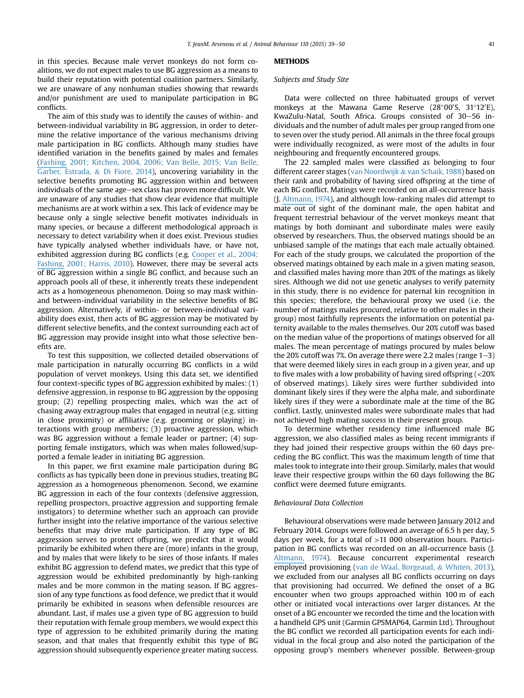in this species. Because male vervet monkeys do not form coalitions, we do not expect males to use BG aggression as a means to build their reputation with potential coalition partners. Similarly, we are unaware of any nonhuman studies showing that rewards and/or punishment are used to manipulate participation in BG conflicts.

The aim of this study was to identify the causes of within- and between-individual variability in BG aggression, in order to determine the relative importance of the various mechanisms driving male participation in BG conflicts. Although many studies have identified variation in the benefits gained by males and females [\(Fashing,](https://www.researchgate.net/publication/225957406_Male_and_female_strategies_during_intergroup_encounters_in_guerezas_(Colobus_guereza)_evidence_for_resource_defense_mediated_through_males_and_a_comparison_with_other_primates._Behav_Ecol_Sociobiol?el=1_x_8&enrichId=rgreq-20cb5913-cbb9-48c8-b4e1-f2d63c0c4fc0&enrichSource=Y292ZXJQYWdlOzI4MzA5MTcxMDtBUzoyODc4NDAxMzYxMjIzNjhAMTQ0NTYzNzg0NDU5Mw==) 2001; Kitchen, 2004, 2006; Van Belle, 2015; Van Belle, Garber, Estrada, & Di Fiore, 2014), uncovering variability in the selective benefits promoting BG aggression within and between individuals of the same age-sex class has proven more difficult. We are unaware of any studies that show clear evidence that multiple mechanisms are at work within a sex. This lack of evidence may be because only a single selective benefit motivates individuals in many species, or because a different methodological approach is necessary to detect variability when it does exist. Previous studies have typically analysed whether individuals have, or have not, exhibited aggression during BG conflicts (e.g. [Cooper](https://www.researchgate.net/publication/225450066_Between_group_encounters_among_Bonnet_Macaques_(Macaca_Radiata)?el=1_x_8&enrichId=rgreq-20cb5913-cbb9-48c8-b4e1-f2d63c0c4fc0&enrichSource=Y292ZXJQYWdlOzI4MzA5MTcxMDtBUzoyODc4NDAxMzYxMjIzNjhAMTQ0NTYzNzg0NDU5Mw==) et al., 2004; [Fashing,](https://www.researchgate.net/publication/225450066_Between_group_encounters_among_Bonnet_Macaques_(Macaca_Radiata)?el=1_x_8&enrichId=rgreq-20cb5913-cbb9-48c8-b4e1-f2d63c0c4fc0&enrichSource=Y292ZXJQYWdlOzI4MzA5MTcxMDtBUzoyODc4NDAxMzYxMjIzNjhAMTQ0NTYzNzg0NDU5Mw==) 2001; Harris, 2010). However, there may be several acts of BG aggression within a single BG conflict, and because such an approach pools all of these, it inherently treats these independent acts as a homogeneous phenomenon. Doing so may mask withinand between-individual variability in the selective benefits of BG aggression. Alternatively, if within- or between-individual variability does exist, then acts of BG aggression may be motivated by different selective benefits, and the context surrounding each act of BG aggression may provide insight into what those selective benefits are.

To test this supposition, we collected detailed observations of male participation in naturally occurring BG conflicts in a wild population of vervet monkeys. Using this data set, we identified four context-specific types of BG aggression exhibited by males: (1) defensive aggression, in response to BG aggression by the opposing group; (2) repelling prospecting males, which was the act of chasing away extragroup males that engaged in neutral (e.g. sitting in close proximity) or affiliative (e.g. grooming or playing) interactions with group members; (3) proactive aggression, which was BG aggression without a female leader or partner; (4) supporting female instigators, which was when males followed/supported a female leader in initiating BG aggression.

In this paper, we first examine male participation during BG conflicts as has typically been done in previous studies, treating BG aggression as a homogeneous phenomenon. Second, we examine BG aggression in each of the four contexts (defensive aggression, repelling prospectors, proactive aggression and supporting female instigators) to determine whether such an approach can provide further insight into the relative importance of the various selective benefits that may drive male participation. If any type of BG aggression serves to protect offspring, we predict that it would primarily be exhibited when there are (more) infants in the group, and by males that were likely to be sires of those infants. If males exhibit BG aggression to defend mates, we predict that this type of aggression would be exhibited predominantly by high-ranking males and be more common in the mating season. If BG aggression of any type functions as food defence, we predict that it would primarily be exhibited in seasons when defensible resources are abundant. Last, if males use a given type of BG aggression to build their reputation with female group members, we would expect this type of aggression to be exhibited primarily during the mating season, and that males that frequently exhibit this type of BG aggression should subsequently experience greater mating success.

# **METHODS**

# Subjects and Study Site

Data were collected on three habituated groups of vervet monkeys at the Mawana Game Reserve (28°00'S, 31°12'E), KwaZulu-Natal, South Africa. Groups consisted of 30–56 individuals and the number of adult males per group ranged from one to seven over the study period. All animals in the three focal groups were individually recognized, as were most of the adults in four neighbouring and frequently encountered groups.

The 22 sampled males were classified as belonging to four different career stages (van Noordwijk & van Schaik, 1988) based on their rank and probability of having sired offspring at the time of each BG conflict. Matings were recorded on an all-occurrence basis (J. [Altmann,](https://www.researchgate.net/publication/18569594_Observational_Study_of_Behavior_Sampling_Methods?el=1_x_8&enrichId=rgreq-20cb5913-cbb9-48c8-b4e1-f2d63c0c4fc0&enrichSource=Y292ZXJQYWdlOzI4MzA5MTcxMDtBUzoyODc4NDAxMzYxMjIzNjhAMTQ0NTYzNzg0NDU5Mw==) 1974), and although low-ranking males did attempt to mate out of sight of the dominant male, the open habitat and frequent terrestrial behaviour of the vervet monkeys meant that matings by both dominant and subordinate males were easily observed by researchers. Thus, the observed matings should be an unbiased sample of the matings that each male actually obtained. For each of the study groups, we calculated the proportion of the observed matings obtained by each male in a given mating season, and classified males having more than 20% of the matings as likely sires. Although we did not use genetic analyses to verify paternity in this study, there is no evidence for paternal kin recognition in this species; therefore, the behavioural proxy we used (i.e. the number of matings males procured, relative to other males in their group) most faithfully represents the information on potential paternity available to the males themselves. Our 20% cutoff was based on the median value of the proportions of matings observed for all males. The mean percentage of matings procured by males below the 20% cutoff was 7%. On average there were 2.2 males (range  $1-3$ ) that were deemed likely sires in each group in a given year, and up to five males with a low probability of having sired offspring (<20% of observed matings). Likely sires were further subdivided into dominant likely sires if they were the alpha male, and subordinate likely sires if they were a subordinate male at the time of the BG conflict. Lastly, uninvested males were subordinate males that had not achieved high mating success in their present group.

To determine whether residency time influenced male BG aggression, we also classified males as being recent immigrants if they had joined their respective groups within the 60 days preceding the BG conflict. This was the maximum length of time that males took to integrate into their group. Similarly, males that would leave their respective groups within the 60 days following the BG conflict were deemed future emigrants.

# Behavioural Data Collection

Behavioural observations were made between January 2012 and February 2014. Groups were followed an average of 6.5 h per day, 5 days per week, for a total of >11 000 observation hours. Participation in BG conflicts was recorded on an all-occurrence basis (J. [Altmann,](https://www.researchgate.net/publication/18569594_Observational_Study_of_Behavior_Sampling_Methods?el=1_x_8&enrichId=rgreq-20cb5913-cbb9-48c8-b4e1-f2d63c0c4fc0&enrichSource=Y292ZXJQYWdlOzI4MzA5MTcxMDtBUzoyODc4NDAxMzYxMjIzNjhAMTQ0NTYzNzg0NDU5Mw==) 1974). Because concurrent experimental research employed provisioning (van de Waal, Borgeaud, & Whiten, 2013), we excluded from our analyses all BG conflicts occurring on days that provisioning had occurred. We defined the onset of a BG encounter when two groups approached within 100 m of each other or initiated vocal interactions over larger distances. At the onset of a BG encounter we recorded the time and the location with a handheld GPS unit (Garmin GPSMAP64, Garmin Ltd). Throughout the BG conflict we recorded all participation events for each individual in the focal group and also noted the participation of the opposing group's members whenever possible. Between-group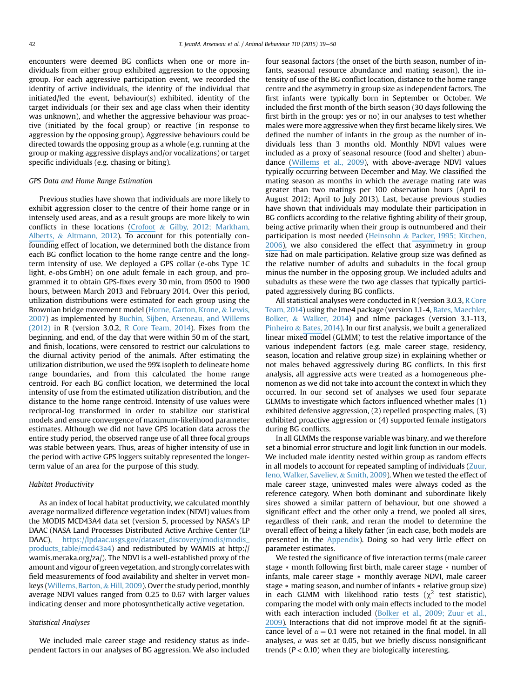encounters were deemed BG conflicts when one or more individuals from either group exhibited aggression to the opposing group. For each aggressive participation event, we recorded the identity of active individuals, the identity of the individual that initiated/led the event, behaviour(s) exhibited, identity of the target individuals (or their sex and age class when their identity was unknown), and whether the aggressive behaviour was proactive (initiated by the focal group) or reactive (in response to aggression by the opposing group). Aggressive behaviours could be directed towards the opposing group as a whole (e.g. running at the group or making aggressive displays and/or vocalizations) or target specific individuals (e.g. chasing or biting).

#### GPS Data and Home Range Estimation

Previous studies have shown that individuals are more likely to exhibit aggression closer to the centre of their home range or in intensely used areas, and as a result groups are more likely to win conflicts in these locations [\(Crofoot](https://www.researchgate.net/publication/51954345_Cheating_monkeys_undermine_group_strength_in_enemy_territory?el=1_x_8&enrichId=rgreq-20cb5913-cbb9-48c8-b4e1-f2d63c0c4fc0&enrichSource=Y292ZXJQYWdlOzI4MzA5MTcxMDtBUzoyODc4NDAxMzYxMjIzNjhAMTQ0NTYzNzg0NDU5Mw==) & Gilby, 2012; Markham, [Alberts,](https://www.researchgate.net/publication/51954345_Cheating_monkeys_undermine_group_strength_in_enemy_territory?el=1_x_8&enrichId=rgreq-20cb5913-cbb9-48c8-b4e1-f2d63c0c4fc0&enrichSource=Y292ZXJQYWdlOzI4MzA5MTcxMDtBUzoyODc4NDAxMzYxMjIzNjhAMTQ0NTYzNzg0NDU5Mw==) & Altmann, 2012). To account for this potentially confounding effect of location, we determined both the distance from each BG conflict location to the home range centre and the longterm intensity of use. We deployed a GPS collar (e-obs Type 1C light, e-obs GmbH) on one adult female in each group, and programmed it to obtain GPS-fixes every 30 min, from 0500 to 1900 hours, between March 2013 and February 2014. Over this period, utilization distributions were estimated for each group using the Brownian bridge movement model (Horne, Garton, Krone, & Lewis, 2007) as implemented by Buchin, Sijben, Arseneau, and Willems  $(2012)$  in R (version 3.0.2, R Core Team, 2014). Fixes from the beginning, and end, of the day that were within 50 m of the start, and finish, locations, were censored to restrict our calculations to the diurnal activity period of the animals. After estimating the utilization distribution, we used the 99% isopleth to delineate home range boundaries, and from this calculated the home range centroid. For each BG conflict location, we determined the local intensity of use from the estimated utilization distribution, and the distance to the home range centroid. Intensity of use values were reciprocal-log transformed in order to stabilize our statistical models and ensure convergence of maximum-likelihood parameter estimates. Although we did not have GPS location data across the entire study period, the observed range use of all three focal groups was stable between years. Thus, areas of higher intensity of use in the period with active GPS loggers suitably represented the longerterm value of an area for the purpose of this study.

# Habitat Productivity

As an index of local habitat productivity, we calculated monthly average normalized difference vegetation index (NDVI) values from the MODIS MCD43A4 data set (version 5, processed by NASA's LP DAAC (NASA Land Processes Distributed Active Archive Center (LP DAAC), [https://lpdaac.usgs.gov/dataset\\_discovery/modis/modis\\_](https://lpdaac.usgs.gov/dataset_discovery/modis/modis_products_table/mcd43a4) [products\\_table/mcd43a4\)](https://lpdaac.usgs.gov/dataset_discovery/modis/modis_products_table/mcd43a4) and redistributed by WAMIS at http:// wamis.meraka.org/za/). The NDVI is a well-established proxy of the amount and vigour of green vegetation, and strongly correlates with field measurements of food availability and shelter in vervet monkeys (Willems, Barton, & Hill, 2009). Over the study period, monthly average NDVI values ranged from 0.25 to 0.67 with larger values indicating denser and more photosynthetically active vegetation.

# Statistical Analyses

We included male career stage and residency status as independent factors in our analyses of BG aggression. We also included four seasonal factors (the onset of the birth season, number of infants, seasonal resource abundance and mating season), the intensity of use of the BG conflict location, distance to the home range centre and the asymmetry in group size as independent factors. The first infants were typically born in September or October. We included the first month of the birth season (30 days following the first birth in the group: yes or no) in our analyses to test whether males were more aggressive when they first became likely sires. We defined the number of infants in the group as the number of individuals less than 3 months old. Monthly NDVI values were included as a proxy of seasonal resource (food and shelter) abundance [\(Willems](https://www.researchgate.net/publication/46512307_Remotely_sensed_productivity_regional_home_range_selection_and_local_range_use_by_an_omnivorous_primate?el=1_x_8&enrichId=rgreq-20cb5913-cbb9-48c8-b4e1-f2d63c0c4fc0&enrichSource=Y292ZXJQYWdlOzI4MzA5MTcxMDtBUzoyODc4NDAxMzYxMjIzNjhAMTQ0NTYzNzg0NDU5Mw==) et al., 2009), with above-average NDVI values typically occurring between December and May. We classified the mating season as months in which the average mating rate was greater than two matings per 100 observation hours (April to August 2012; April to July 2013). Last, because previous studies have shown that individuals may modulate their participation in BG conflicts according to the relative fighting ability of their group, being active primarily when their group is outnumbered and their participation is most needed (Heinsohn & [Packer,](https://www.researchgate.net/publication/7292450_Experimental_Test_of_Female_Black_Howler_Monkey_(_Alouatta_pigra_)_Responses_to_Loud_Calls_from_Potentially_Infanticidal_Males__Effects_of_Numeric_Odds_Vulnerable_Offspring_and_Companion_Behavior?el=1_x_8&enrichId=rgreq-20cb5913-cbb9-48c8-b4e1-f2d63c0c4fc0&enrichSource=Y292ZXJQYWdlOzI4MzA5MTcxMDtBUzoyODc4NDAxMzYxMjIzNjhAMTQ0NTYzNzg0NDU5Mw==) 1995; Kitchen, [2006\),](https://www.researchgate.net/publication/7292450_Experimental_Test_of_Female_Black_Howler_Monkey_(_Alouatta_pigra_)_Responses_to_Loud_Calls_from_Potentially_Infanticidal_Males__Effects_of_Numeric_Odds_Vulnerable_Offspring_and_Companion_Behavior?el=1_x_8&enrichId=rgreq-20cb5913-cbb9-48c8-b4e1-f2d63c0c4fc0&enrichSource=Y292ZXJQYWdlOzI4MzA5MTcxMDtBUzoyODc4NDAxMzYxMjIzNjhAMTQ0NTYzNzg0NDU5Mw==) we also considered the effect that asymmetry in group size had on male participation. Relative group size was defined as the relative number of adults and subadults in the focal group minus the number in the opposing group. We included adults and subadults as these were the two age classes that typically participated aggressively during BG conflicts.

All statistical analyses were conducted in R (version 3.0.3, R Core Team, 2014) using the lme4 package (version 1.1-4, Bates, Maechler, Bolker, & Walker, 2014) and nlme packages (version 3.1-113, Pinheiro & [Bates,](https://www.researchgate.net/publication/279236477_Package_Lme4_Linear_Mixed-Effects_Models_Using_Eigen_and_S4?el=1_x_8&enrichId=rgreq-20cb5913-cbb9-48c8-b4e1-f2d63c0c4fc0&enrichSource=Y292ZXJQYWdlOzI4MzA5MTcxMDtBUzoyODc4NDAxMzYxMjIzNjhAMTQ0NTYzNzg0NDU5Mw==) 2014). In our first analysis, we built a generalized linear mixed model (GLMM) to test the relative importance of the various independent factors (e.g. male career stage, residency, season, location and relative group size) in explaining whether or not males behaved aggressively during BG conflicts. In this first analysis, all aggressive acts were treated as a homogeneous phenomenon as we did not take into account the context in which they occurred. In our second set of analyses we used four separate GLMMs to investigate which factors influenced whether males (1) exhibited defensive aggression, (2) repelled prospecting males, (3) exhibited proactive aggression or (4) supported female instigators during BG conflicts.

In all GLMMs the response variable was binary, and we therefore set a binomial error structure and logit link function in our models. We included male identity nested within group as random effects in all models to account for repeated sampling of individuals (Zuur, Ieno, Walker, Saveliev, & Smith, 2009). When we tested the effect of male career stage, uninvested males were always coded as the reference category. When both dominant and subordinate likely sires showed a similar pattern of behaviour, but one showed a significant effect and the other only a trend, we pooled all sires, regardless of their rank, and reran the model to determine the overall effect of being a likely father (in each case, both models are presented in the Appendix). Doing so had very little effect on parameter estimates.

We tested the significance of five interaction terms (male career stage  $*$  month following first birth, male career stage  $*$  number of infants, male career stage  $*$  monthly average NDVI, male career stage  $*$  mating season, and number of infants  $*$  relative group size) in each GLMM with likelihood ratio tests ( $\chi^2$  test statistic), comparing the model with only main effects included to the model with each interaction included [\(Bolker](https://www.researchgate.net/publication/221995574_Generalized_Linear_Mixed_Models_A_Practical_Guide_for_Ecology_and_Evolution?el=1_x_8&enrichId=rgreq-20cb5913-cbb9-48c8-b4e1-f2d63c0c4fc0&enrichSource=Y292ZXJQYWdlOzI4MzA5MTcxMDtBUzoyODc4NDAxMzYxMjIzNjhAMTQ0NTYzNzg0NDU5Mw==) et al., 2009; Zuur et al., [2009\).](https://www.researchgate.net/publication/221995574_Generalized_Linear_Mixed_Models_A_Practical_Guide_for_Ecology_and_Evolution?el=1_x_8&enrichId=rgreq-20cb5913-cbb9-48c8-b4e1-f2d63c0c4fc0&enrichSource=Y292ZXJQYWdlOzI4MzA5MTcxMDtBUzoyODc4NDAxMzYxMjIzNjhAMTQ0NTYzNzg0NDU5Mw==) Interactions that did not improve model fit at the significance level of  $\alpha = 0.1$  were not retained in the final model. In all analyses,  $\alpha$  was set at 0.05, but we briefly discuss nonsignificant trends ( $P < 0.10$ ) when they are biologically interesting.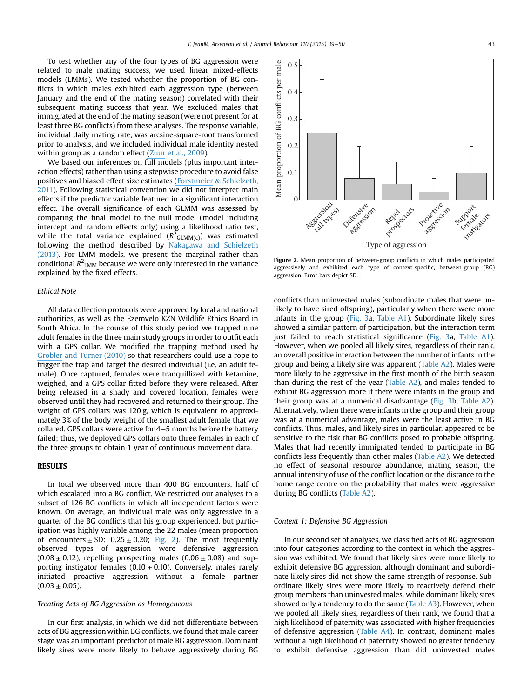0.5

To test whether any of the four types of BG aggression were related to male mating success, we used linear mixed-effects models (LMMs). We tested whether the proportion of BG conflicts in which males exhibited each aggression type (between January and the end of the mating season) correlated with their subsequent mating success that year. We excluded males that immigrated at the end of the mating season (were not present for at least three BG conflicts) from these analyses. The response variable, individual daily mating rate, was arcsine-square-root transformed prior to analysis, and we included individual male identity nested within group as a random effect [\(Zuur](https://www.researchgate.net/publication/278028778_Mixed_Effects_Models_and_Extensions_in_Ecology_With_R?el=1_x_8&enrichId=rgreq-20cb5913-cbb9-48c8-b4e1-f2d63c0c4fc0&enrichSource=Y292ZXJQYWdlOzI4MzA5MTcxMDtBUzoyODc4NDAxMzYxMjIzNjhAMTQ0NTYzNzg0NDU5Mw==) et al., 2009).

We based our inferences on full models (plus important interaction effects) rather than using a stepwise procedure to avoid false positives and biased effect size estimates [\(Forstmeier](https://www.researchgate.net/publication/49814122_Cryptic_multiple_hypotheses_testing_in_linear_models_Overestimated_effect_sizes_and_the_winner) & Schielzeth, [2011\).](https://www.researchgate.net/publication/49814122_Cryptic_multiple_hypotheses_testing_in_linear_models_Overestimated_effect_sizes_and_the_winner) Following statistical convention we did not interpret main effects if the predictor variable featured in a significant interaction effect. The overall significance of each GLMM was assessed by comparing the final model to the null model (model including intercept and random effects only) using a likelihood ratio test, while the total variance explained ( $R^2_{\text{GLMM(c)}}$ ) was estimated following the method described by Nakagawa and Schielzeth (2013). For LMM models, we present the marginal rather than conditional  $R^2_{\ \ LMM}$  because we were only interested in the variance explained by the fixed effects.

# Ethical Note

All data collection protocols were approved by local and national authorities, as well as the Ezemvelo KZN Wildlife Ethics Board in South Africa. In the course of this study period we trapped nine adult females in the three main study groups in order to outfit each with a GPS collar. We modified the trapping method used by [Grobler](https://www.researchgate.net/publication/257873997_A_Novel_Trap_Design_for_the_Capture_and_Sedation_of_Vervet_Monkeys_(Chlorocebus_aethiops)?el=1_x_8&enrichId=rgreq-20cb5913-cbb9-48c8-b4e1-f2d63c0c4fc0&enrichSource=Y292ZXJQYWdlOzI4MzA5MTcxMDtBUzoyODc4NDAxMzYxMjIzNjhAMTQ0NTYzNzg0NDU5Mw==) and Turner (2010) so that researchers could use a rope to trigger the trap and target the desired individual (i.e. an adult female). Once captured, females were tranquillized with ketamine, weighed, and a GPS collar fitted before they were released. After being released in a shady and covered location, females were observed until they had recovered and returned to their group. The weight of GPS collars was 120 g, which is equivalent to approximately 3% of the body weight of the smallest adult female that we collared. GPS collars were active for  $4-5$  months before the battery failed; thus, we deployed GPS collars onto three females in each of the three groups to obtain 1 year of continuous movement data.

# **RESULTS**

In total we observed more than 400 BG encounters, half of which escalated into a BG conflict. We restricted our analyses to a subset of 126 BG conflicts in which all independent factors were known. On average, an individual male was only aggressive in a quarter of the BG conflicts that his group experienced, but participation was highly variable among the 22 males (mean proportion of encounters  $\pm$  SD: 0.25  $\pm$  0.20; Fig. 2). The most frequently observed types of aggression were defensive aggression  $(0.08 \pm 0.12)$ , repelling prospecting males  $(0.06 \pm 0.08)$  and supporting instigator females ( $0.10 \pm 0.10$ ). Conversely, males rarely initiated proactive aggression without a female partner  $(0.03 \pm 0.05)$ .

# Treating Acts of BG Aggression as Homogeneous

In our first analysis, in which we did not differentiate between acts of BG aggression within BG conflicts, we found that male career stage was an important predictor of male BG aggression. Dominant likely sires were more likely to behave aggressively during BG



Figure 2. Mean proportion of between-group conflicts in which males participated aggressively and exhibited each type of context-specific, between-group (BG) aggression. Error bars depict SD.

conflicts than uninvested males (subordinate males that were unlikely to have sired offspring), particularly when there were more infants in the group (Fig. 3a, Table A1). Subordinate likely sires showed a similar pattern of participation, but the interaction term just failed to reach statistical significance (Fig. 3a, Table A1). However, when we pooled all likely sires, regardless of their rank, an overall positive interaction between the number of infants in the group and being a likely sire was apparent (Table A2). Males were more likely to be aggressive in the first month of the birth season than during the rest of the year (Table A2), and males tended to exhibit BG aggression more if there were infants in the group and their group was at a numerical disadvantage (Fig. 3b, Table A2). Alternatively, when there were infants in the group and their group was at a numerical advantage, males were the least active in BG conflicts. Thus, males, and likely sires in particular, appeared to be sensitive to the risk that BG conflicts posed to probable offspring. Males that had recently immigrated tended to participate in BG conflicts less frequently than other males (Table A2). We detected no effect of seasonal resource abundance, mating season, the annual intensity of use of the conflict location or the distance to the home range centre on the probability that males were aggressive during BG conflicts (Table A2).

## Context 1: Defensive BG Aggression

In our second set of analyses, we classified acts of BG aggression into four categories according to the context in which the aggression was exhibited. We found that likely sires were more likely to exhibit defensive BG aggression, although dominant and subordinate likely sires did not show the same strength of response. Subordinate likely sires were more likely to reactively defend their group members than uninvested males, while dominant likely sires showed only a tendency to do the same (Table A3). However, when we pooled all likely sires, regardless of their rank, we found that a high likelihood of paternity was associated with higher frequencies of defensive aggression (Table A4). In contrast, dominant males without a high likelihood of paternity showed no greater tendency to exhibit defensive aggression than did uninvested males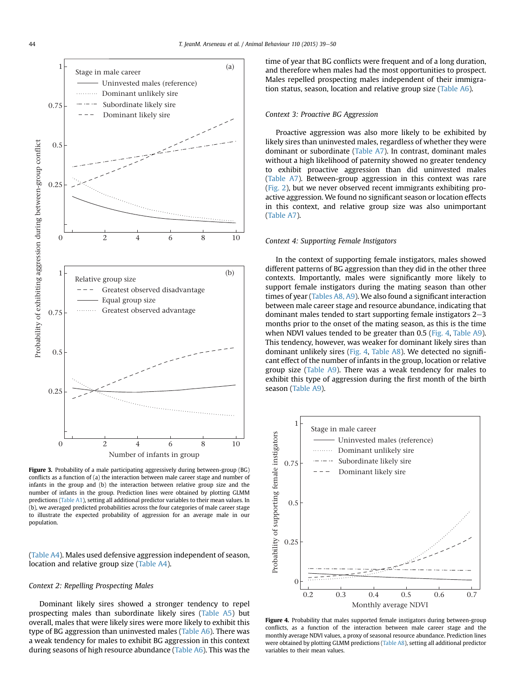

Figure 3. Probability of a male participating aggressively during between-group (BG) conflicts as a function of (a) the interaction between male career stage and number of infants in the group and (b) the interaction between relative group size and the number of infants in the group. Prediction lines were obtained by plotting GLMM predictions (Table A1), setting all additional predictor variables to their mean values. In (b), we averaged predicted probabilities across the four categories of male career stage to illustrate the expected probability of aggression for an average male in our population.

(Table A4). Males used defensive aggression independent of season, location and relative group size (Table A4).

# Context 2: Repelling Prospecting Males

Dominant likely sires showed a stronger tendency to repel prospecting males than subordinate likely sires (Table A5) but overall, males that were likely sires were more likely to exhibit this type of BG aggression than uninvested males (Table A6). There was a weak tendency for males to exhibit BG aggression in this context during seasons of high resource abundance (Table A6). This was the time of year that BG conflicts were frequent and of a long duration, and therefore when males had the most opportunities to prospect. Males repelled prospecting males independent of their immigration status, season, location and relative group size (Table A6).

# Context 3: Proactive BG Aggression

Proactive aggression was also more likely to be exhibited by likely sires than uninvested males, regardless of whether they were dominant or subordinate (Table A7). In contrast, dominant males without a high likelihood of paternity showed no greater tendency to exhibit proactive aggression than did uninvested males (Table A7). Between-group aggression in this context was rare (Fig. 2), but we never observed recent immigrants exhibiting proactive aggression. We found no significant season or location effects in this context, and relative group size was also unimportant (Table A7).

# Context 4: Supporting Female Instigators

In the context of supporting female instigators, males showed different patterns of BG aggression than they did in the other three contexts. Importantly, males were significantly more likely to support female instigators during the mating season than other times of year (Tables A8, A9). We also found a significant interaction between male career stage and resource abundance, indicating that dominant males tended to start supporting female instigators  $2-3$ months prior to the onset of the mating season, as this is the time when NDVI values tended to be greater than 0.5 (Fig. 4, Table A9). This tendency, however, was weaker for dominant likely sires than dominant unlikely sires (Fig. 4, Table A8). We detected no significant effect of the number of infants in the group, location or relative group size (Table A9). There was a weak tendency for males to exhibit this type of aggression during the first month of the birth season (Table A9).



Figure 4. Probability that males supported female instigators during between-group conflicts, as a function of the interaction between male career stage and the monthly average NDVI values, a proxy of seasonal resource abundance. Prediction lines were obtained by plotting GLMM predictions (Table A8), setting all additional predictor variables to their mean values.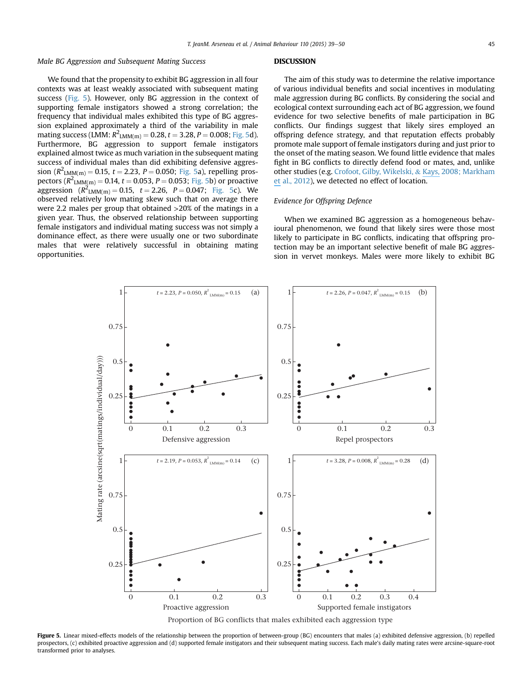# Male BG Aggression and Subsequent Mating Success

We found that the propensity to exhibit BG aggression in all four contexts was at least weakly associated with subsequent mating success (Fig. 5). However, only BG aggression in the context of supporting female instigators showed a strong correlation; the frequency that individual males exhibited this type of BG aggression explained approximately a third of the variability in male mating success (LMM:  $R^2$ <sub>LMM(m)</sub> = 0.28, t = 3.28, P = 0.008; Fig. 5d). Furthermore, BG aggression to support female instigators explained almost twice as much variation in the subsequent mating success of individual males than did exhibiting defensive aggression  $(R^2_{LMM(m)} = 0.15, t = 2.23, P = 0.050;$  Fig. 5a), repelling prospectors ( $R^2$ <sub>LMM(m)</sub> = 0.14, t = 0.053, P = 0.053; Fig. 5b) or proactive aggression  $(R^2_{LMM(m)} = 0.15, t = 2.26, P = 0.047;$  Fig. 5c). We observed relatively low mating skew such that on average there were 2.2 males per group that obtained >20% of the matings in a given year. Thus, the observed relationship between supporting female instigators and individual mating success was not simply a dominance effect, as there were usually one or two subordinate males that were relatively successful in obtaining mating opportunities.

# **DISCUSSION**

The aim of this study was to determine the relative importance of various individual benefits and social incentives in modulating male aggression during BG conflicts. By considering the social and ecological context surrounding each act of BG aggression, we found evidence for two selective benefits of male participation in BG conflicts. Our findings suggest that likely sires employed an offspring defence strategy, and that reputation effects probably promote male support of female instigators during and just prior to the onset of the mating season. We found little evidence that males fight in BG conflicts to directly defend food or mates, and, unlike other studies (e.g. Crofoot, Gilby, Wikelski, & [Kays,](https://www.researchgate.net/publication/230574122_Intergroup_conflict_Ecological_predictors_of_winning_and_consequences_of_defeat_in_a_wild_primate_population?el=1_x_8&enrichId=rgreq-20cb5913-cbb9-48c8-b4e1-f2d63c0c4fc0&enrichSource=Y292ZXJQYWdlOzI4MzA5MTcxMDtBUzoyODc4NDAxMzYxMjIzNjhAMTQ0NTYzNzg0NDU5Mw==) 2008; Markham [et](https://www.researchgate.net/publication/230574122_Intergroup_conflict_Ecological_predictors_of_winning_and_consequences_of_defeat_in_a_wild_primate_population?el=1_x_8&enrichId=rgreq-20cb5913-cbb9-48c8-b4e1-f2d63c0c4fc0&enrichSource=Y292ZXJQYWdlOzI4MzA5MTcxMDtBUzoyODc4NDAxMzYxMjIzNjhAMTQ0NTYzNzg0NDU5Mw==) al., 2012), we detected no effect of location.

# Evidence for Offspring Defence

When we examined BG aggression as a homogeneous behavioural phenomenon, we found that likely sires were those most likely to participate in BG conflicts, indicating that offspring protection may be an important selective benefit of male BG aggression in vervet monkeys. Males were more likely to exhibit BG



Figure 5. Linear mixed-effects models of the relationship between the proportion of between-group (BG) encounters that males (a) exhibited defensive aggression, (b) repelled prospectors, (c) exhibited proactive aggression and (d) supported female instigators and their subsequent mating success. Each male's daily mating rates were arcsine-square-root transformed prior to analyses.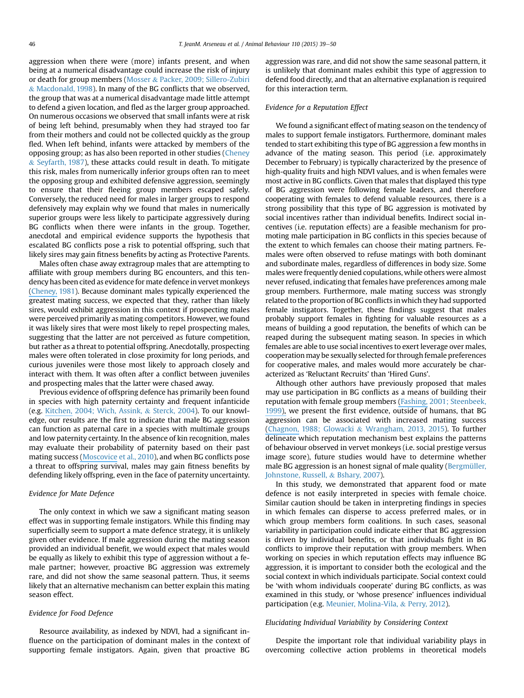aggression when there were (more) infants present, and when being at a numerical disadvantage could increase the risk of injury or death for group members (Mosser & Packer, 2009; Sillero-Zubiri & Macdonald, 1998). In many of the BG conflicts that we observed, the group that was at a numerical disadvantage made little attempt to defend a given location, and fled as the larger group approached. On numerous occasions we observed that small infants were at risk of being left behind, presumably when they had strayed too far from their mothers and could not be collected quickly as the group fled. When left behind, infants were attacked by members of the opposing group; as has also been reported in other studies (Cheney & Seyfarth, 1987), these attacks could result in death. To mitigate this risk, males from numerically inferior groups often ran to meet the opposing group and exhibited defensive aggression, seemingly to ensure that their fleeing group members escaped safely. Conversely, the reduced need for males in larger groups to respond defensively may explain why we found that males in numerically superior groups were less likely to participate aggressively during BG conflicts when there were infants in the group. Together, anecdotal and empirical evidence supports the hypothesis that escalated BG conflicts pose a risk to potential offspring, such that likely sires may gain fitness benefits by acting as Protective Parents.

Males often chase away extragroup males that are attempting to affiliate with group members during BG encounters, and this tendency has been cited as evidence for mate defence in vervet monkeys [\(Cheney,](https://www.researchgate.net/publication/16003465_Intergroup_Encounters_among_Free-Ranging_Vervet_Monkeys?el=1_x_8&enrichId=rgreq-20cb5913-cbb9-48c8-b4e1-f2d63c0c4fc0&enrichSource=Y292ZXJQYWdlOzI4MzA5MTcxMDtBUzoyODc4NDAxMzYxMjIzNjhAMTQ0NTYzNzg0NDU5Mw==) 1981). Because dominant males typically experienced the greatest mating success, we expected that they, rather than likely sires, would exhibit aggression in this context if prospecting males were perceived primarily as mating competitors. However, we found it was likely sires that were most likely to repel prospecting males, suggesting that the latter are not perceived as future competition, but rather as a threat to potential offspring. Anecdotally, prospecting males were often tolerated in close proximity for long periods, and curious juveniles were those most likely to approach closely and interact with them. It was often after a conflict between juveniles and prospecting males that the latter were chased away.

Previous evidence of offspring defence has primarily been found in species with high paternity certainty and frequent infanticide (e.g. [Kitchen,](https://www.researchgate.net/publication/222553708_Kitchen_D._M._Alpha_male_black_howler_monkey_responses_to_loud_calls_effect_of_numeric_odds_male_companion_behaviour_and_reproductive_investment._Anim._Behav._67_125-139?el=1_x_8&enrichId=rgreq-20cb5913-cbb9-48c8-b4e1-f2d63c0c4fc0&enrichSource=Y292ZXJQYWdlOzI4MzA5MTcxMDtBUzoyODc4NDAxMzYxMjIzNjhAMTQ0NTYzNzg0NDU5Mw==) 2004; Wich, Assink, & Sterck, 2004). To our knowledge, our results are the first to indicate that male BG aggression can function as paternal care in a species with multimale groups and low paternity certainty. In the absence of kin recognition, males may evaluate their probability of paternity based on their past mating success [\(Moscovice](https://www.researchgate.net/publication/229308247_Hedging_their_bets_Male_and_female_chacma_baboons_form_friendships_based_on_likelihood_of_paternity?el=1_x_8&enrichId=rgreq-20cb5913-cbb9-48c8-b4e1-f2d63c0c4fc0&enrichSource=Y292ZXJQYWdlOzI4MzA5MTcxMDtBUzoyODc4NDAxMzYxMjIzNjhAMTQ0NTYzNzg0NDU5Mw==) et al., 2010), and when BG conflicts pose a threat to offspring survival, males may gain fitness benefits by defending likely offspring, even in the face of paternity uncertainty.

# Evidence for Mate Defence

The only context in which we saw a significant mating season effect was in supporting female instigators. While this finding may superficially seem to support a mate defence strategy, it is unlikely given other evidence. If male aggression during the mating season provided an individual benefit, we would expect that males would be equally as likely to exhibit this type of aggression without a female partner; however, proactive BG aggression was extremely rare, and did not show the same seasonal pattern. Thus, it seems likely that an alternative mechanism can better explain this mating season effect.

# Evidence for Food Defence

Resource availability, as indexed by NDVI, had a significant influence on the participation of dominant males in the context of supporting female instigators. Again, given that proactive BG aggression was rare, and did not show the same seasonal pattern, it is unlikely that dominant males exhibit this type of aggression to defend food directly, and that an alternative explanation is required for this interaction term.

# Evidence for a Reputation Effect

We found a significant effect of mating season on the tendency of males to support female instigators. Furthermore, dominant males tended to start exhibiting this type of BG aggression a few months in advance of the mating season. This period (i.e. approximately December to February) is typically characterized by the presence of high-quality fruits and high NDVI values, and is when females were most active in BG conflicts. Given that males that displayed this type of BG aggression were following female leaders, and therefore cooperating with females to defend valuable resources, there is a strong possibility that this type of BG aggression is motivated by social incentives rather than individual benefits. Indirect social incentives (i.e. reputation effects) are a feasible mechanism for promoting male participation in BG conflicts in this species because of the extent to which females can choose their mating partners. Females were often observed to refuse matings with both dominant and subordinate males, regardless of differences in body size. Some males were frequently denied copulations, while others were almost never refused, indicating that females have preferences among male group members. Furthermore, male mating success was strongly related to the proportion of BG conflicts inwhich they had supported female instigators. Together, these findings suggest that males probably support females in fighting for valuable resources as a means of building a good reputation, the benefits of which can be reaped during the subsequent mating season. In species in which females are able to use social incentives to exert leverage over males, cooperation may be sexually selected for through female preferences for cooperative males, and males would more accurately be characterized as 'Reluctant Recruits' than 'Hired Guns'.

Although other authors have previously proposed that males may use participation in BG conflicts as a means of building their reputation with female group members [\(Fashing,](https://www.researchgate.net/publication/225957406_Male_and_female_strategies_during_intergroup_encounters_in_guerezas_(Colobus_guereza)_evidence_for_resource_defense_mediated_through_males_and_a_comparison_with_other_primates._Behav_Ecol_Sociobiol?el=1_x_8&enrichId=rgreq-20cb5913-cbb9-48c8-b4e1-f2d63c0c4fc0&enrichSource=Y292ZXJQYWdlOzI4MzA5MTcxMDtBUzoyODc4NDAxMzYxMjIzNjhAMTQ0NTYzNzg0NDU5Mw==) 2001; Steenbeek, [1999\),](https://www.researchgate.net/publication/225957406_Male_and_female_strategies_during_intergroup_encounters_in_guerezas_(Colobus_guereza)_evidence_for_resource_defense_mediated_through_males_and_a_comparison_with_other_primates._Behav_Ecol_Sociobiol?el=1_x_8&enrichId=rgreq-20cb5913-cbb9-48c8-b4e1-f2d63c0c4fc0&enrichSource=Y292ZXJQYWdlOzI4MzA5MTcxMDtBUzoyODc4NDAxMzYxMjIzNjhAMTQ0NTYzNzg0NDU5Mw==) we present the first evidence, outside of humans, that BG aggression can be associated with increased mating success [\(Chagnon,](https://www.researchgate.net/publication/6024114_Life_Histories_Blood_Revenge_and_Warfare_in_a_Tribal_Population?el=1_x_8&enrichId=rgreq-20cb5913-cbb9-48c8-b4e1-f2d63c0c4fc0&enrichSource=Y292ZXJQYWdlOzI4MzA5MTcxMDtBUzoyODc4NDAxMzYxMjIzNjhAMTQ0NTYzNzg0NDU5Mw==) 1988; Glowacki & Wrangham, 2013, 2015). To further delineate which reputation mechanism best explains the patterns of behaviour observed in vervet monkeys (i.e. social prestige versus image score), future studies would have to determine whether male BG aggression is an honest signal of male quality (Bergmüller, Johnstone, Russell, & Bshary, 2007).

In this study, we demonstrated that apparent food or mate defence is not easily interpreted in species with female choice. Similar caution should be taken in interpreting findings in species in which females can disperse to access preferred males, or in which group members form coalitions. In such cases, seasonal variability in participation could indicate either that BG aggression is driven by individual benefits, or that individuals fight in BG conflicts to improve their reputation with group members. When working on species in which reputation effects may influence BG aggression, it is important to consider both the ecological and the social context in which individuals participate. Social context could be 'with whom individuals cooperate' during BG conflicts, as was examined in this study, or 'whose presence' influences individual participation (e.g. Meunier, Molina-Vila, & Perry, 2012).

# Elucidating Individual Variability by Considering Context

Despite the important role that individual variability plays in overcoming collective action problems in theoretical models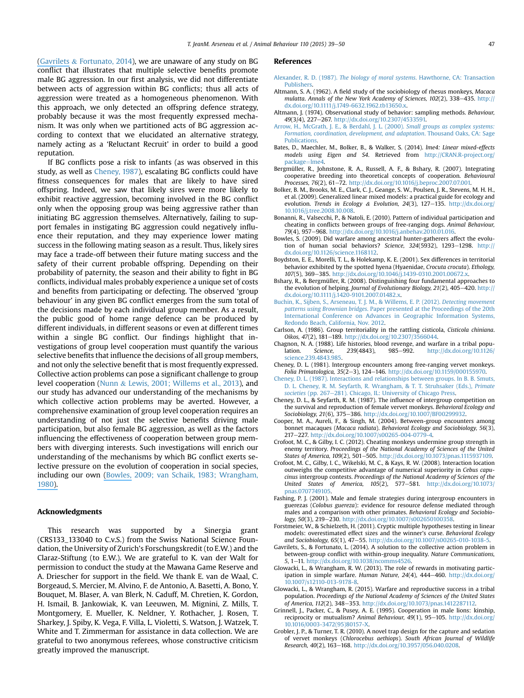[\(Gavrilets](https://www.researchgate.net/publication/261102831_A_solution_to_the_collective_action_problem_in_between-group_conflict_with_within-group_inequality?el=1_x_8&enrichId=rgreq-20cb5913-cbb9-48c8-b4e1-f2d63c0c4fc0&enrichSource=Y292ZXJQYWdlOzI4MzA5MTcxMDtBUzoyODc4NDAxMzYxMjIzNjhAMTQ0NTYzNzg0NDU5Mw==) & Fortunato, 2014), we are unaware of any study on BG conflict that illustrates that multiple selective benefits promote male BG aggression. In our first analysis, we did not differentiate between acts of aggression within BG conflicts; thus all acts of aggression were treated as a homogeneous phenomenon. With this approach, we only detected an offspring defence strategy, probably because it was the most frequently expressed mechanism. It was only when we partitioned acts of BG aggression according to context that we elucidated an alternative strategy, namely acting as a 'Reluctant Recruit' in order to build a good reputation.

If BG conflicts pose a risk to infants (as was observed in this study, as well as Cheney, 1987), escalating BG conflicts could have fitness consequences for males that are likely to have sired offspring. Indeed, we saw that likely sires were more likely to exhibit reactive aggression, becoming involved in the BG conflict only when the opposing group was being aggressive rather than initiating BG aggression themselves. Alternatively, failing to support females in instigating BG aggression could negatively influence their reputation, and they may experience lower mating success in the following mating season as a result. Thus, likely sires may face a trade-off between their future mating success and the safety of their current probable offspring. Depending on their probability of paternity, the season and their ability to fight in BG conflicts, individual males probably experience a unique set of costs and benefits from participating or defecting. The observed 'group behaviour' in any given BG conflict emerges from the sum total of the decisions made by each individual group member. As a result, the public good of home range defence can be produced by different individuals, in different seasons or even at different times within a single BG conflict. Our findings highlight that investigations of group level cooperation must quantify the various selective benefits that influence the decisions of all group members, and not only the selective benefit that is most frequently expressed. Collective action problems can pose a significant challenge to group level cooperation (Nunn & Lewis, 2001; Willems et al., 2013), and our study has advanced our understanding of the mechanisms by which collective action problems may be averted. However, a comprehensive examination of group level cooperation requires an understanding of not just the selective benefits driving male participation, but also female BG aggression, as well as the factors influencing the effectiveness of cooperation between group members with diverging interests. Such investigations will enrich our understanding of the mechanisms by which BG conflict exerts selective pressure on the evolution of cooperation in social species, including our own [\(Bowles,](https://www.researchgate.net/publication/26268380_Did_Warfare_Among_Ancestral_Hunter-Gatherers_Affect_the_Evolution_of_Human_Social_Behaviors?el=1_x_8&enrichId=rgreq-20cb5913-cbb9-48c8-b4e1-f2d63c0c4fc0&enrichSource=Y292ZXJQYWdlOzI4MzA5MTcxMDtBUzoyODc4NDAxMzYxMjIzNjhAMTQ0NTYzNzg0NDU5Mw==) 2009; van Schaik, 1983; Wrangham, [1980\).](https://www.researchgate.net/publication/26268380_Did_Warfare_Among_Ancestral_Hunter-Gatherers_Affect_the_Evolution_of_Human_Social_Behaviors?el=1_x_8&enrichId=rgreq-20cb5913-cbb9-48c8-b4e1-f2d63c0c4fc0&enrichSource=Y292ZXJQYWdlOzI4MzA5MTcxMDtBUzoyODc4NDAxMzYxMjIzNjhAMTQ0NTYzNzg0NDU5Mw==)

## Acknowledgments

This research was supported by a Sinergia grant (CRS133\_133040 to C.v.S.) from the Swiss National Science Foundation, the University of Zurich's Forschungskredit (to E.W.) and the Claraz-Stiftung (to E.W.). We are grateful to K. van der Walt for permission to conduct the study at the Mawana Game Reserve and A. Driescher for support in the field. We thank E. van de Waal, C. Borgeaud, S. Mercier, M. Alvino, F. de Antonio, A. Basetti, A. Bono, Y. Bouquet, M. Blaser, A. van Blerk, N. Caduff, M. Chretien, K. Gordon, H. Ismail, B. Jankowiak, K. van Leeuwen, M. Mignini, Z. Mills, T. Montgomery, E. Mueller, K. Neldner, Y. Rothacher, J. Rosen, T. Sharkey, J. Spiby, K. Vega, F. Villa, L. Violetti, S. Watson, J. Watzek, T. White and T. Zimmerman for assistance in data collection. We are grateful to two anonymous referees, whose constructive criticism greatly improved the manuscript.

#### References

- Alexander, R. D. (1987). The biology of moral systems[. Hawthorne, CA: Transaction](http://refhub.elsevier.com/S0003-3472(15)00337-1/sref1) [Publishers.](http://refhub.elsevier.com/S0003-3472(15)00337-1/sref1)
- Altmann, S. A. (1962). A field study of the sociobiology of rhesus monkeys, Macaca mulatta. Annals of the New York Academy of Sciences, 102(2), 338-435. [http://](http://dx.doi.org/10.1111/j.1749-6632.1962.tb13650.x) [dx.doi.org/10.1111/j.1749-6632.1962.tb13650.x.](http://dx.doi.org/10.1111/j.1749-6632.1962.tb13650.x)
- Altmann, J. (1974). Observational study of behavior: sampling methods. Behaviour, 49(3/4), 227-267. [http://dx.doi.org/10.2307/4533591.](http://dx.doi.org/10.2307/4533591)
- [Arrow, H., McGrath, J. E., & Berdahl, J. L. \(2000\).](http://refhub.elsevier.com/S0003-3472(15)00337-1/sref4) Small groups as complex systems: [Formation, coordination, development, and adaptation](http://refhub.elsevier.com/S0003-3472(15)00337-1/sref4). Thousand Oaks, CA: Sage **[Publications](http://refhub.elsevier.com/S0003-3472(15)00337-1/sref4)**
- Bates, D., Maechler, M., Bolker, B., & Walker, S. (2014). lme4: Linear mixed-effects models using Eigen and S4. Retrieved from [http://CRAN.R-project.org/](http://CRAN.R-project.org/package=lme4) [package](http://CRAN.R-project.org/package=lme4)=[lme4](http://CRAN.R-project.org/package=lme4)
- Bergmüller, R., Johnstone, R. A., Russell, A. F., & Bshary, R. (2007). Integrating cooperative breeding into theoretical concepts of cooperation. Behavioural Processes, 76(2), 61-72. [http://dx.doi.org/10.1016/j.beproc.2007.07.001.](http://dx.doi.org/10.1016/j.beproc.2007.07.001)
- Bolker, B. M., Brooks, M. E., Clark, C. J., Geange, S. W., Poulsen, J. R., Stevens, M. H. H., et al. (2009). Generalized linear mixed models: a practical guide for ecology and evolution. Trends in Ecology & Evolution, 24(3), 127-135. [http://dx.doi.org/](http://dx.doi.org/10.1016/j.tree.2008.10.008) [10.1016/j.tree.2008.10.008.](http://dx.doi.org/10.1016/j.tree.2008.10.008)
- Bonanni, R., Valsecchi, P., & Natoli, E. (2010). Pattern of individual participation and cheating in conflicts between groups of free-ranging dogs. Animal Behaviour, 79(4), 957-968. [http://dx.doi.org/10.1016/j.anbehav.2010.01.016.](http://dx.doi.org/10.1016/j.anbehav.2010.01.016)
- Bowles, S. (2009). Did warfare among ancestral hunter-gatherers affect the evolution of human social behaviors? Science,  $324(5932)$ ,  $1293-1298$ . [http://](http://dx.doi.org/10.1126/science.1168112) [dx.doi.org/10.1126/science.1168112](http://dx.doi.org/10.1126/science.1168112).
- Boydston, E. E., Morelli, T. L., & Holekamp, K. E. (2001). Sex differences in territorial behavior exhibited by the spotted hyena (Hyaenidae, Crocuta crocuta). Ethology, 107(5), 369-385. http://dx.doi.org/10.1046/j.1439-0310.2001.00672.
- Bshary, R., & Bergmüller, R. (2008). Distinguishing four fundamental approaches to the evolution of helping. Journal of Evolutionary Biology, 21(2), 405-420. [http://](http://dx.doi.org/10.1111/j.1420-9101.2007.01482.x) [dx.doi.org/10.1111/j.1420-9101.2007.01482.x](http://dx.doi.org/10.1111/j.1420-9101.2007.01482.x).
- [Buchin, K., Sijben, S., Arseneau, T. J. M., & Willems, E. P. \(2012\).](http://refhub.elsevier.com/S0003-3472(15)00337-1/sref12) Detecting movement patterns using Brownian bridges[. Paper presented at the Proceedings of the 20th](http://refhub.elsevier.com/S0003-3472(15)00337-1/sref12) [International Conference on Advances in Geographic Information Systems,](http://refhub.elsevier.com/S0003-3472(15)00337-1/sref12) [Redondo Beach, California, Nov. 2012.](http://refhub.elsevier.com/S0003-3472(15)00337-1/sref12)
- Carlson, A. (1986). Group territoriality in the rattling cisticola, Cisticola chiniana. Oikos, 47(2), 181-189. [http://dx.doi.org/10.2307/3566044.](http://dx.doi.org/10.2307/3566044)
- Chagnon, N. A. (1988). Life histories, blood revenge, and warfare in a tribal population. Science, 239(4843), 985–992. http://dx.doi.org/10.1126 lation. Science, 239(4843), 985-992. [http://dx.doi.org/10.1126/](http://dx.doi.org/10.1126/science.239.4843.985) [science.239.4843.985](http://dx.doi.org/10.1126/science.239.4843.985).
- Cheney, D. L. (1981). Intergroup encounters among free-ranging vervet monkeys. Folia Primatologica, 35(2-3), 124-146. [http://dx.doi.org/10.1159/000155970.](http://dx.doi.org/10.1159/000155970)
- [Cheney, D. L. \(1987\). Interactions and relationships between groups. In B. B. Smuts,](http://refhub.elsevier.com/S0003-3472(15)00337-1/sref16) [D. L. Cheney, R. M. Seyfarth, R. Wrangham, & T. T. Struhsaker \(Eds.\),](http://refhub.elsevier.com/S0003-3472(15)00337-1/sref16) Primate societies [\(pp. 267](http://refhub.elsevier.com/S0003-3472(15)00337-1/sref16)-[281\). Chicago, IL: University of Chicago Press](http://refhub.elsevier.com/S0003-3472(15)00337-1/sref16).
- Cheney, D. L., & Seyfarth, R. M. (1987). The influence of intergroup competition on the survival and reproduction of female vervet monkeys. Behavioral Ecology and Sociobiology, 21(6), 375-386. <http://dx.doi.org/10.1007/BF00299932>.
- Cooper, M. A., Aureli, F., & Singh, M. (2004). Between-group encounters among bonnet macaques (Macaca radiata). Behavioral Ecology and Sociobiology, 56(3), 217-227. <http://dx.doi.org/10.1007/s00265-004-0779-4>.
- Crofoot, M. C., & Gilby, I. C. (2012). Cheating monkeys undermine group strength in enemy territory. Proceedings of the National Academy of Sciences of the United<br>States of America, 109(2), 501–505. <http://dx.doi.org/10.1073/pnas.1115937109>.
- Crofoot, M. C., Gilby, I. C., Wikelski, M. C., & Kays, R. W. (2008). Interaction location outweighs the competitive advantage of numerical superiority in Cebus capucinus intergroup contests. Proceedings of the National Academy of Sciences of the United States of America, 105(2), 577-581. [http://dx.doi.org/10.1073/](http://dx.doi.org/10.1073/pnas.0707749105) [pnas.0707749105.](http://dx.doi.org/10.1073/pnas.0707749105)
- Fashing, P. J. (2001). Male and female strategies during intergroup encounters in guerezas (Colobus guereza): evidence for resource defense mediated through males and a comparison with other primates. Behavioral Ecology and Sociobiology, 50(3), 219-230. <http://dx.doi.org/10.1007/s002650100358>.
- Forstmeier, W., & Schielzeth, H. (2011). Cryptic multiple hypotheses testing in linear models: overestimated effect sizes and the winner's curse. Behavioral Ecology and Sociobiology, 65(1), 47-55. <http://dx.doi.org/10.1007/s00265-010-1038-5>.
- Gavrilets, S., & Fortunato, L. (2014). A solution to the collective action problem in between-group conflict with within-group inequality. Nature Communications, 5, 1-11. [http://dx.doi.org/10.1038/ncomms4526.](http://dx.doi.org/10.1038/ncomms4526)
- Glowacki, L., & Wrangham, R. W. (2013). The role of rewards in motivating participation in simple warfare. Human Nature,  $24(4)$ ,  $444-460$ . [http://dx.doi.org/](http://dx.doi.org/10.1007/s12110-013-9178-8) [10.1007/s12110-013-9178-8](http://dx.doi.org/10.1007/s12110-013-9178-8).
- Glowacki, L., & Wrangham, R. (2015). Warfare and reproductive success in a tribal population. Proceedings of the National Academy of Sciences of the United States of America, 112(2), 348-353. <http://dx.doi.org/10.1073/pnas.1412287112>
- Grinnell, J., Packer, C., & Pusey, A. E. (1995). Cooperation in male lions: kinship, reciprocity or mutualism? Animal Behaviour, 49(1), 95-105. [http://dx.doi.org/](http://dx.doi.org/10.1016/0003-3472(95)80157-X) [10.1016/0003-3472\(95\)80157-X.](http://dx.doi.org/10.1016/0003-3472(95)80157-X)
- Grobler, J. P., & Turner, T. R. (2010). A novel trap design for the capture and sedation of vervet monkeys (Chlorocebus aethiops). South African Journal of Wildlife Research, 40(2), 163-168. <http://dx.doi.org/10.3957/056.040.0208>.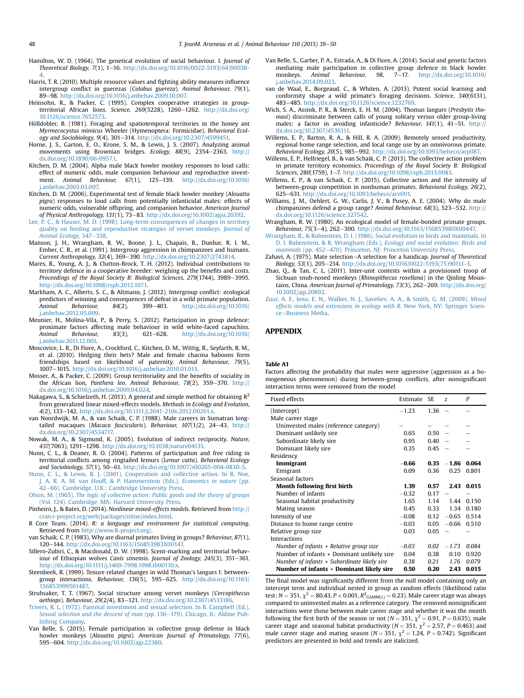- Hamilton, W. D. (1964). The genetical evolution of social behaviour. I. Journal of Theoretical Biology, 7(1), 1e16. [http://dx.doi.org/10.1016/0022-5193\(64\)90038-](http://dx.doi.org/10.1016/0022-5193(64)90038-4) [4.](http://dx.doi.org/10.1016/0022-5193(64)90038-4)
- Harris, T. R. (2010). Multiple resource values and fighting ability measures influence intergroup conflict in guerezas (Colobus guereza). Animal Behaviour, 79(1), 89e98. [http://dx.doi.org/10.1016/j.anbehav.2009.10.007.](http://dx.doi.org/10.1016/j.anbehav.2009.10.007)
- Heinsohn, R., & Packer, C. (1995). Complex cooperative strategies in groupterritorial African lions. Science, 269(5228), 1260-1262. [http://dx.doi.org/](http://dx.doi.org/10.1126/science.7652573) [10.1126/science.7652573.](http://dx.doi.org/10.1126/science.7652573)
- Hölldobler, B. (1981). Foraging and spatiotemporal territories in the honey ant Myrmecocystus mimicus Wheeler (Hymenoptera: Formicidae). Behavioral Ecology and Sociobiology, 9(4), 301-314. [http://dx.doi.org/10.2307/4599451.](http://dx.doi.org/10.2307/4599451)
- Horne, J. S., Garton, E. O., Krone, S. M., & Lewis, J. S. (2007). Analyzing animal movements using Brownian bridges. Ecology, 88(9), 2354-2363. [http://](http://dx.doi.org/10.1890/06-0957.1) [dx.doi.org/10.1890/06-0957.1.](http://dx.doi.org/10.1890/06-0957.1)
- Kitchen, D. M. (2004). Alpha male black howler monkey responses to loud calls: effect of numeric odds, male companion behaviour and reproductive investment. Animal Behaviour,  $67(1)$ ,  $125-139$ . [http://dx.doi.org/10.1016/](http://dx.doi.org/10.1016/j.anbehav.2003.03.007) [j.anbehav.2003.03.007.](http://dx.doi.org/10.1016/j.anbehav.2003.03.007)
- Kitchen, D. M. (2006). Experimental test of female black howler monkey (Alouatta pigra) responses to loud calls from potentially infanticidal males: effects of numeric odds, vulnerable offspring, and companion behavior. American Journal of Physical Anthropology, 131(1), 73-83. <http://dx.doi.org/10.1002/ajpa.20392>.
- [Lee, P. C., & Hauser, M. D. \(1998\). Long-term consequences of changes in territory](http://refhub.elsevier.com/S0003-3472(15)00337-1/sref35) [quality on feeding and reproductive strategies of vervet monkeys.](http://refhub.elsevier.com/S0003-3472(15)00337-1/sref35) Journal of [Animal Ecology](http://refhub.elsevier.com/S0003-3472(15)00337-1/sref35), 347-[358.](http://refhub.elsevier.com/S0003-3472(15)00337-1/sref35)
- Manson, J. H., Wrangham, R. W., Boone, J. L., Chapais, B., Dunbar, R. I. M., Ember, C. R., et al. (1991). Intergroup aggression in chimpanzees and humans. Current Anthropology, 32(4), 369-390. <http://dx.doi.org/10.2307/2743814>.
- Mares, R., Young, A. J., & Clutton-Brock, T. H. (2012). Individual contributions to territory defence in a cooperative breeder: weighing up the benefits and costs. Proceedings of the Royal Society B: Biological Sciences, 279(1744), 3989-3995. [http://dx.doi.org/10.1098/rspb.2012.1071.](http://dx.doi.org/10.1098/rspb.2012.1071)
- Markham, A. C., Alberts, S. C., & Altmann, J. (2012). Intergroup conflict: ecological predictors of winning and consequences of defeat in a wild primate population. Animal Behaviour, 84(2), 399-403. [http://dx.doi.org/10.1016/](http://dx.doi.org/10.1016/j.anbehav.2012.05.009) [j.anbehav.2012.05.009.](http://dx.doi.org/10.1016/j.anbehav.2012.05.009)
- Meunier, H., Molina-Vila, P., & Perry, S. (2012). Participation in group defence: proximate factors affecting male behaviour in wild white-faced capuchins.<br>Animal Behaviour,  $83(3)$ ,  $621-628$ . http://dx.doi.org/10.1016/ Animal Behaviour, 83(3), 621-628. [http://dx.doi.org/10.1016/](http://dx.doi.org/10.1016/j.anbehav.2011.12.001) [j.anbehav.2011.12.001.](http://dx.doi.org/10.1016/j.anbehav.2011.12.001)
- Moscovice, L. R., Di Fiore, A., Crockford, C., Kitchen, D. M., Wittig, R., Seyfarth, R. M., et al. (2010). Hedging their bets? Male and female chacma baboons form friendships based on likelihood of paternity. Animal Behaviour, 79(5), 1007-1015. <http://dx.doi.org/10.1016/j.anbehav.2010.01.013>.
- Mosser, A., & Packer, C. (2009). Group territoriality and the benefits of sociality in the African lion, Panthera leo. Animal Behaviour, 78(2), 359-370. [http://](http://dx.doi.org/10.1016/j.anbehav.2009.04.024) [dx.doi.org/10.1016/j.anbehav.2009.04.024.](http://dx.doi.org/10.1016/j.anbehav.2009.04.024)
- Nakagawa, S., & Schielzeth, H. (2013). A general and simple method for obtaining  $R^2$ from generalized linear mixed-effects models. Methods in Ecology and Evolution, 4(2), 133-142. <http://dx.doi.org/10.1111/j.2041-210x.2012.00261.x>.
- van Noordwijk, M. A., & van Schaik, C. P. (1988). Male careers in Sumatran longtailed macaques (Macaca fascicularis). Behaviour,  $107(1/2)$ , 24-43. [http://](http://dx.doi.org/10.2307/4534717) [dx.doi.org/10.2307/4534717.](http://dx.doi.org/10.2307/4534717)
- Nowak, M. A., & Sigmund, K. (2005). Evolution of indirect reciprocity. Nature, 437(7063), 1291-1298. [http://dx.doi.org/10.1038/nature04131.](http://dx.doi.org/10.1038/nature04131)
- Nunn, C. L., & Deaner, R. O. (2004). Patterns of participation and free riding in territorial conflicts among ringtailed lemurs (Lemur catta). Behavioral Ecology and Sociobiology, 57(1), 50-61. [http://dx.doi.org/10.1007/s00265-004-0830-5.](http://dx.doi.org/10.1007/s00265-004-0830-5)
- [Nunn, C. L., & Lewis, R. J. \(2001\). Cooperation and collective action. In R. Noe,](http://refhub.elsevier.com/S0003-3472(15)00337-1/sref46) [J. A. R. A. M. van Hooff, & P. Hammerstein \(Eds.\),](http://refhub.elsevier.com/S0003-3472(15)00337-1/sref46) Economics in nature (pp. [42](http://refhub.elsevier.com/S0003-3472(15)00337-1/sref46)-[66\). Cambridge, U.K.: Cambridge University Press.](http://refhub.elsevier.com/S0003-3472(15)00337-1/sref46)
- Olson, M. (1965). [The logic of collective action: Public goods and the theory of groups](http://refhub.elsevier.com/S0003-3472(15)00337-1/sref47) [\(Vol. 124\). Cambridge, MA: Harvard University Press](http://refhub.elsevier.com/S0003-3472(15)00337-1/sref47).
- Pinheiro, J., & Bates, D. (2014). Nonlinear mixed-effects models. Retrieved from [http://](http://cran.r-project.org/web/packages/nlme/index.html) [cran.r-project.org/web/packages/nlme/index.html.](http://cran.r-project.org/web/packages/nlme/index.html)
- R Core Team. (2014). R: a language and environment for statistical computing. Retrieved from <http://www.R-project.org/>.
- van Schaik, C. P. (1983). Why are diurnal primates living in groups? Behaviour, 87(1), 120-144. [http://dx.doi.org/10.1163/156853983X00147.](http://dx.doi.org/10.1163/156853983X00147)
- Sillero-Zubiri, C., & Macdonald, D. W. (1998). Scent-marking and territorial behaviour of Ethiopian wolves Canis simensis. Journal of Zoology, 245(3), 351-361. [http://dx.doi.org/10.1111/j.1469-7998.1998.tb00110.x.](http://dx.doi.org/10.1111/j.1469-7998.1998.tb00110.x)
- Steenbeek, R. (1999). Tenure related changes in wild Thomas's langurs I: betweengroup interactions. Behaviour,  $136(5)$ , 595-625. [http://dx.doi.org/10.1163/](http://dx.doi.org/10.1163/156853999501487) [156853999501487.](http://dx.doi.org/10.1163/156853999501487)
- Struhsaker, T. T. (1967). Social structure among vervet monkeys (Cercopithecus aethiops). Behaviour, 29(2/4), 83-121. <http://dx.doi.org/10.2307/4533186>
- [Trivers, R. L. \(1972\). Parental investment and sexual selection. In B. Campbell \(Ed.\),](http://refhub.elsevier.com/S0003-3472(15)00337-1/sref54) [Sexual selection and the descent of man](http://refhub.elsevier.com/S0003-3472(15)00337-1/sref54) (pp. 136–[179\). Chicago, IL: Aldine Pub](http://refhub.elsevier.com/S0003-3472(15)00337-1/sref54)[lishing Company.](http://refhub.elsevier.com/S0003-3472(15)00337-1/sref54)
- Van Belle, S. (2015). Female participation in collective group defense in black howler monkeys (Alouatta pigra). American Journal of Primatology, 77(6), 595e604. [http://dx.doi.org/10.1002/ajp.22380.](http://dx.doi.org/10.1002/ajp.22380)
- Van Belle, S., Garber, P. A., Estrada, A., & Di Fiore, A. (2014). Social and genetic factors mediating male participation in collective group defence in black howler<br>monkeys. Animal Behaviour. 98. 7–17. http://dx.doi.org/10.1016/ monkeys. Animal Behaviour, 98, 7-17. [http://dx.doi.org/10.1016/](http://dx.doi.org/10.1016/j.anbehav.2014.09.023) [j.anbehav.2014.09.023.](http://dx.doi.org/10.1016/j.anbehav.2014.09.023)
- van de Waal, E., Borgeaud, C., & Whiten, A. (2013). Potent social learning and conformity shape a wild primate's foraging decisions. Science, 340(6131), 483e485. <http://dx.doi.org/10.1126/science.1232769>.
- Wich, S. A., Assink, P. R., & Sterck, E. H. M. (2004). Thomas langurs (Presbytis thomasi) discriminate between calls of young solitary versus older group-living males: a factor in avoiding infanticide? Behaviour,  $141(1)$ ,  $41-51$ . [http://](http://dx.doi.org/10.2307/4536111) [dx.doi.org/10.2307/4536111.](http://dx.doi.org/10.2307/4536111)
- Willems, E. P., Barton, R. A., & Hill, R. A. (2009). Remotely sensed productivity, regional home range selection, and local range use by an omnivorous primate. Behavioral Ecology, 20(5), 985-992. [http://dx.doi.org/10.1093/beheco/arp087.](http://dx.doi.org/10.1093/beheco/arp087)
- Willems, E. P., Hellriegel, B., & van Schaik, C. P. (2013). The collective action problem in primate territory economics. Proceedings of the Royal Society B: Biological Sciences, 280(1759), 1-7. [http://dx.doi.org/10.1098/rspb.2013.0081.](http://dx.doi.org/10.1098/rspb.2013.0081)
- Willems, E. P., & van Schaik, C. P. (2015). Collective action and the intensity of between-group competition in nonhuman primates. Behavioral Ecology, 26(2), 625e631. [http://dx.doi.org/10.1093/beheco/arv001.](http://dx.doi.org/10.1093/beheco/arv001)
- Williams, J. M., Oehlert, G. W., Carlis, J. V., & Pusey, A. E. (2004). Why do male chimpanzees defend a group range? Animal Behaviour, 68(3), 523-532. [http://](http://dx.doi.org/10.1126/science.327542) [dx.doi.org/10.1126/science.327542](http://dx.doi.org/10.1126/science.327542).
- Wrangham, R. W. (1980). An ecological model of female-bonded primate groups. Behaviour, 75(3–4), 262–300. [http://dx.doi.org/10.1163/156853980X00447.](http://dx.doi.org/10.1163/156853980X00447)<br>[Wrangham, R., & Rubenstein, D. I. \(1986\). Social evolution in birds and mammals. In](http://refhub.elsevier.com/S0003-3472(15)00337-1/sref64)
- [D. I. Rubenstein, & R. Wrangham \(Eds.\),](http://refhub.elsevier.com/S0003-3472(15)00337-1/sref64) Ecology and social evolution: Birds and [mammals](http://refhub.elsevier.com/S0003-3472(15)00337-1/sref64) (pp. 452–[470\). Princeton, NJ: Princeton University Press.](http://refhub.elsevier.com/S0003-3472(15)00337-1/sref64)
- Zahavi, A. (1975). Mate selection-A selection for a handicap. Journal of Theoretical Biology, 53(1), 205-214. [http://dx.doi.org/10.1016/0022-5193\(75\)90111-3](http://dx.doi.org/10.1016/0022-5193(75)90111-3).
- Zhao, Q., & Tan, C. L. (2011). Inter-unit contests within a provisioned troop of Sichuan snub-nosed monkeys (Rhinopithecus roxellana) in the Qinling Mountains, China. American Journal of Primatology, 73(3), 262-269. [http://dx.doi.org/](http://dx.doi.org/10.1002/ajp.20892) [10.1002/ajp.20892.](http://dx.doi.org/10.1002/ajp.20892)
- [Zuur, A. F., Ieno, E. N., Walker, N. J., Saveliev, A. A., & Smith, G. M. \(2009\).](http://refhub.elsevier.com/S0003-3472(15)00337-1/sref67) Mixed [effects models and extensions in ecology with R](http://refhub.elsevier.com/S0003-3472(15)00337-1/sref67). New York, NY: Springer Scien[ce](http://refhub.elsevier.com/S0003-3472(15)00337-1/sref67)+[Business Media](http://refhub.elsevier.com/S0003-3472(15)00337-1/sref67).

# APPENDIX

#### Table A1

Factors affecting the probability that males were aggressive (aggression as a homogeneous phenomenon) during between-group conflicts, after nonsignificant interaction terms were removed from the model

| Fixed effects                               | Estimate | SE   | z       | P     |
|---------------------------------------------|----------|------|---------|-------|
| (Intercept)                                 | $-1.23$  | 1.36 |         |       |
| Male career stage                           |          |      |         |       |
| Uninvested males (reference category)       |          |      |         |       |
| Dominant unlikely sire                      | 0.65     | 0.50 |         |       |
| Subordinate likely sire                     | 0.95     | 0.40 |         |       |
| Dominant likely sire                        | 0.35     | 0.45 |         |       |
| Residency                                   |          |      |         |       |
| Immigrant                                   | $-0.66$  | 0.35 | $-1.86$ | 0.064 |
| Emigrant                                    | 0.09     | 0.36 | 0.25    | 0.801 |
| Seasonal factors                            |          |      |         |       |
| Month following first birth                 | 1.39     | 0.57 | 2.43    | 0.015 |
| Number of infants                           | $-0.32$  | 0.17 |         |       |
| Seasonal habitat productivity               | 1.65     | 1.14 | 1.44    | 0.150 |
| Mating season                               | 0.45     | 0.33 | 1.34    | 0.180 |
| Intensity of use                            | $-0.08$  | 0.12 | $-0.65$ | 0.514 |
| Distance to home range centre               | $-0.03$  | 0.05 | $-0.66$ | 0.510 |
| Relative group size                         | 0.03     | 0.05 |         |       |
| Interactions                                |          |      |         |       |
| Number of infants * Relative group size     | $-0.03$  | 0.02 | $-1.73$ | 0.084 |
| Number of infants * Dominant unlikely sire  | 0.04     | 0.38 | 0.10    | 0.920 |
| Number of infants * Subordinate likely sire | 0.38     | 0.21 | 1.76    | 0.079 |
| Number of infants * Dominant likely sire    | 0.50     | 0.20 | 2.43    | 0.015 |

The final model was significantly different from the null model containing only an intercept term and individual nested in group as random effects (likelihood ratio test:  $N = 351$ ,  $\chi^2 = 80.43$ ,  $P < 0.001$ ,  $R^2$ <sub>GLMM(c)</sub> = 0.23). Male career stage was always compared to uninvested males as a reference category. The removed nonsignificant interactions were those between male career stage and whether it was the month following the first birth of the season or not ( $N = 351$ ,  $\chi^2 = 0.91$ ,  $P = 0.635$ ), male career stage and seasonal habitat productivity ( $N = 351$ ,  $\chi^2 = 2.57$ ,  $P = 0.463$ ) and male career stage and mating season ( $N = 351$ ,  $\chi^2 = 1.24$ ,  $P = 0.742$ ). Significant predictors are presented in bold and trends are italicized.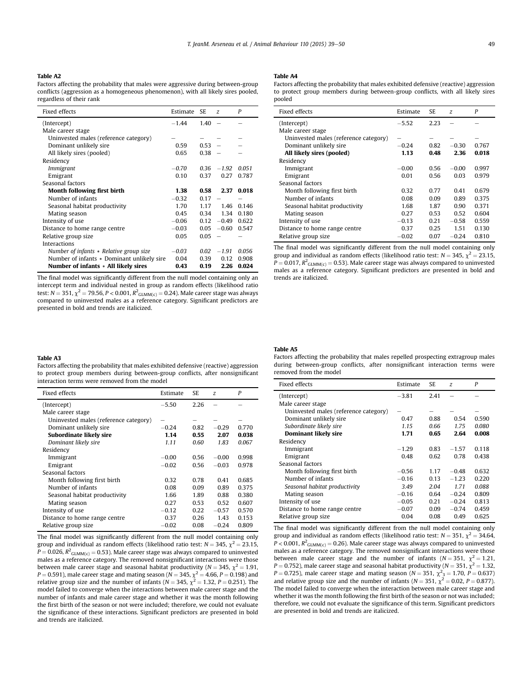# Table A2

Factors affecting the probability that males were aggressive during between-group conflicts (aggression as a homogeneous phenomenon), with all likely sires pooled, regardless of their rank

| Fixed effects                              | Estimate | SE.  | $\overline{z}$ | P     |
|--------------------------------------------|----------|------|----------------|-------|
| (Intercept)                                | $-1.44$  | 1.40 |                |       |
| Male career stage                          |          |      |                |       |
| Uninvested males (reference category)      |          |      |                |       |
| Dominant unlikely sire                     | 0.59     | 0.53 |                |       |
| All likely sires (pooled)                  | 0.65     | 0.38 |                |       |
| Residency                                  |          |      |                |       |
| Immigrant                                  | $-0.70$  | 0.36 | $-1.92$        | 0.051 |
| Emigrant                                   | 0.10     | 0.37 | 0.27           | 0.787 |
| Seasonal factors                           |          |      |                |       |
| Month following first birth                | 1.38     | 0.58 | 2.37           | 0.018 |
| Number of infants                          | $-0.32$  | 0.17 |                |       |
| Seasonal habitat productivity              | 1.70     | 1.17 | 1.46           | 0.146 |
| Mating season                              | 0.45     | 0.34 | 1.34           | 0.180 |
| Intensity of use                           | $-0.06$  | 0.12 | $-0.49$        | 0.622 |
| Distance to home range centre              | $-0.03$  | 0.05 | $-0.60$        | 0.547 |
| Relative group size                        | 0.05     | 0.05 |                |       |
| <b>Interactions</b>                        |          |      |                |       |
| Number of infants * Relative group size    | $-0.03$  | 0.02 | $-1.91$        | 0.056 |
| Number of infants * Dominant unlikely sire | 0.04     | 0.39 | 0.12           | 0.908 |
| Number of infants * All likely sires       | 0.43     | 0.19 | 2.26           | 0.024 |

The final model was significantly different from the null model containing only an intercept term and individual nested in group as random effects (likelihood ratio test: N = 351,  $\chi^2$  = 79.56, P < 0.001,  $R^2_{\rm GLMM(c)}$  = 0.24). Male career stage was always compared to uninvested males as a reference category. Significant predictors are presented in bold and trends are italicized.

#### Table A4

Factors affecting the probability that males exhibited defensive (reactive) aggression to protect group members during between-group conflicts, with all likely sires pooled

| Fixed effects                         | Estimate | SE.  | Z       | P     |
|---------------------------------------|----------|------|---------|-------|
| (Intercept)                           | $-5.52$  | 2.23 |         |       |
| Male career stage                     |          |      |         |       |
| Uninvested males (reference category) | -        |      |         |       |
| Dominant unlikely sire                | $-0.24$  | 0.82 | $-0.30$ | 0.767 |
| All likely sires (pooled)             | 1.13     | 0.48 | 2.36    | 0.018 |
| Residency                             |          |      |         |       |
| Immigrant                             | $-0.00$  | 0.56 | $-0.00$ | 0.997 |
| Emigrant                              | 0.01     | 0.56 | 0.03    | 0.979 |
| Seasonal factors                      |          |      |         |       |
| Month following first birth           | 0.32     | 0.77 | 0.41    | 0.679 |
| Number of infants                     | 0.08     | 0.09 | 0.89    | 0.375 |
| Seasonal habitat productivity         | 1.68     | 1.87 | 0.90    | 0.371 |
| Mating season                         | 0.27     | 0.53 | 0.52    | 0.604 |
| Intensity of use                      | $-0.13$  | 0.21 | $-0.58$ | 0.559 |
| Distance to home range centre         | 0.37     | 0.25 | 1.51    | 0.130 |
| Relative group size                   | $-0.02$  | 0.07 | $-0.24$ | 0.810 |

The final model was significantly different from the null model containing only group and individual as random effects (likelihood ratio test:  $N = 345$ ,  $\chi^2 = 23.15$ ,  $P = 0.017$ ,  $R^2$ <sub>GLMM(c)</sub> = 0.53). Male career stage was always compared to uninvested males as a reference category. Significant predictors are presented in bold and trends are italicized.

# Table A3

Factors affecting the probability that males exhibited defensive (reactive) aggression to protect group members during between-group conflicts, after nonsignificant interaction terms were removed from the model

| Fixed effects                         | Estimate | SE.  | z       | P     |
|---------------------------------------|----------|------|---------|-------|
| (Intercept)                           | $-5.50$  | 2.26 |         |       |
| Male career stage                     |          |      |         |       |
| Uninvested males (reference category) |          |      |         |       |
| Dominant unlikely sire                | $-0.24$  | 0.82 | $-0.29$ | 0.770 |
| Subordinate likely sire               | 1.14     | 0.55 | 2.07    | 0.038 |
| Dominant likely sire                  | 1.11     | 0.60 | 1.83    | 0.067 |
| Residency                             |          |      |         |       |
| Immigrant                             | $-0.00$  | 0.56 | $-0.00$ | 0.998 |
| Emigrant                              | $-0.02$  | 0.56 | $-0.03$ | 0.978 |
| Seasonal factors                      |          |      |         |       |
| Month following first birth           | 0.32     | 0.78 | 0.41    | 0.685 |
| Number of infants                     | 0.08     | 0.09 | 0.89    | 0.375 |
| Seasonal habitat productivity         | 1.66     | 1.89 | 0.88    | 0.380 |
| Mating season                         | 0.27     | 0.53 | 0.52    | 0.607 |
| Intensity of use                      | $-0.12$  | 0.22 | $-0.57$ | 0.570 |
| Distance to home range centre         | 0.37     | 0.26 | 1.43    | 0.153 |
| Relative group size                   | $-0.02$  | 0.08 | $-0.24$ | 0.809 |

The final model was significantly different from the null model containing only group and individual as random effects (likelihood ratio test:  $N = 345$ ,  $\chi^2 = 23.15$ ,  $P = 0.026$ ,  $R^2_{\text{GLMM(C)}} = 0.53$ ). Male career stage was always compared to uninvested males as a reference category. The removed nonsignificant interactions were those between male career stage and seasonal habitat productivity ( $N = 345$ ,  $\chi^2 = 1.91$ ,  $P = 0.591$  ), male career stage and mating season (N = 345,  $\chi^2 = 4.66$ , P = 0.198) and relative group size and the number of infants ( $N = 345$ ,  $\chi^2 = 1.32$ ,  $P = 0.251$ ). The model failed to converge when the interactions between male career stage and the number of infants and male career stage and whether it was the month following the first birth of the season or not were included; therefore, we could not evaluate the significance of these interactions. Significant predictors are presented in bold and trends are italicized.

#### Table A5

Factors affecting the probability that males repelled prospecting extragroup males during between-group conflicts, after nonsignificant interaction terms were removed from the model

| Fixed effects                         | Estimate | SE.  | Z       | P     |
|---------------------------------------|----------|------|---------|-------|
| (Intercept)                           | $-3.81$  | 2.41 |         |       |
| Male career stage                     |          |      |         |       |
| Uninvested males (reference category) |          |      |         |       |
| Dominant unlikely sire                | 0.47     | 0.88 | 0.54    | 0.590 |
| Subordinate likely sire               | 1.15     | 0.66 | 1.75    | 0.080 |
| <b>Dominant likely sire</b>           | 1.71     | 0.65 | 2.64    | 0.008 |
| Residency                             |          |      |         |       |
| Immigrant                             | $-1.29$  | 0.83 | $-1.57$ | 0.118 |
| Emigrant                              | 0.48     | 0.62 | 0.78    | 0.438 |
| Seasonal factors                      |          |      |         |       |
| Month following first birth           | $-0.56$  | 1.17 | $-0.48$ | 0.632 |
| Number of infants                     | $-0.16$  | 0.13 | $-1.23$ | 0.220 |
| Seasonal habitat productivity         | 3.49     | 2.04 | 1.71    | 0.088 |
| Mating season                         | $-0.16$  | 0.64 | $-0.24$ | 0.809 |
| Intensity of use                      | $-0.05$  | 0.21 | $-0.24$ | 0.813 |
| Distance to home range centre         | $-0.07$  | 0.09 | $-0.74$ | 0.459 |
| Relative group size                   | 0.04     | 0.08 | 0.49    | 0.625 |

The final model was significantly different from the null model containing only group and individual as random effects (likelihood ratio test:  $N = 351$ ,  $\chi^2 = 34.64$ ,  $P < 0.001$ ,  $R^2$ <sub>GLMM(c)</sub> = 0.26). Male career stage was always compared to uninvested males as a reference category. The removed nonsignificant interactions were those between male career stage and the number of infants ( $N = 351$ ,  $\chi^2 = 1.21$ ,  $P = 0.752$ ), male career stage and seasonal habitat productivity ( $N = 351$ ,  $\chi^2 = 1.32$ ,  $P = 0.725$ ), male career stage and mating season ( $N = 351$ ,  $\chi^2 = 1.70$ ,  $P = 0.637$ ) and relative group size and the number of infants ( $N = 351$ ,  $\chi^2 = 0.02$ ,  $P = 0.877$ ). The model failed to converge when the interaction between male career stage and whether it was the month following the first birth of the season or not was included; therefore, we could not evaluate the significance of this term. Significant predictors are presented in bold and trends are italicized.